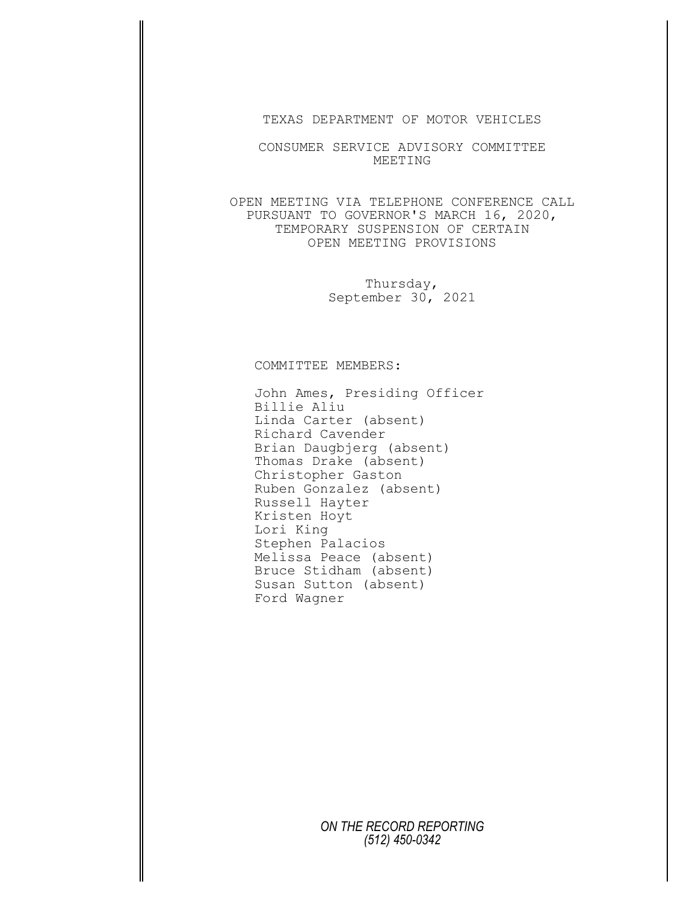TEXAS DEPARTMENT OF MOTOR VEHICLES

CONSUMER SERVICE ADVISORY COMMITTEE MEETING

OPEN MEETING VIA TELEPHONE CONFERENCE CALL PURSUANT TO GOVERNOR'S MARCH 16, 2020, TEMPORARY SUSPENSION OF CERTAIN OPEN MEETING PROVISIONS

> Thursday, September 30, 2021

## COMMITTEE MEMBERS:

John Ames, Presiding Officer Billie Aliu Linda Carter (absent) Richard Cavender Brian Daugbjerg (absent) Thomas Drake (absent) Christopher Gaston Ruben Gonzalez (absent) Russell Hayter Kristen Hoyt Lori King Stephen Palacios Melissa Peace (absent) Bruce Stidham (absent) Susan Sutton (absent) Ford Wagner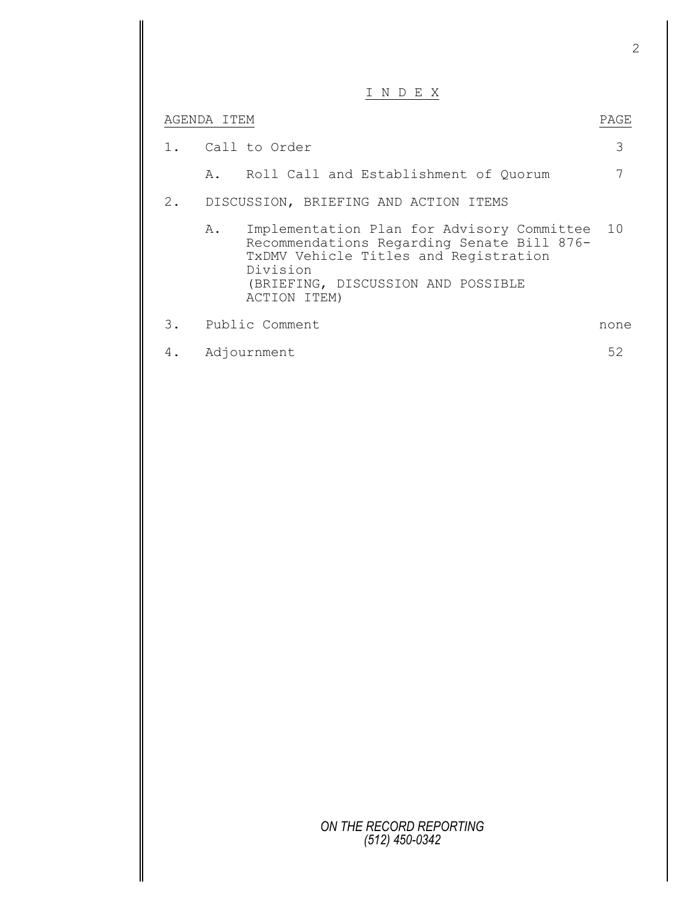|       |             | N D E X                                                                                                                                                                                             |      |
|-------|-------------|-----------------------------------------------------------------------------------------------------------------------------------------------------------------------------------------------------|------|
|       | AGENDA ITEM |                                                                                                                                                                                                     | PAGE |
| 1.    |             | Call to Order                                                                                                                                                                                       | 3    |
|       |             | A. Roll Call and Establishment of Quorum                                                                                                                                                            |      |
| $2$ . |             | DISCUSSION, BRIEFING AND ACTION ITEMS                                                                                                                                                               |      |
|       | Α.          | Implementation Plan for Advisory Committee<br>Recommendations Regarding Senate Bill 876-<br>TxDMV Vehicle Titles and Registration<br>Division<br>(BRIEFING, DISCUSSION AND POSSIBLE<br>ACTION ITEM) | 10   |
| 3.    |             | Public Comment                                                                                                                                                                                      | none |
| 4.    |             | Adjournment                                                                                                                                                                                         | 52   |
|       |             |                                                                                                                                                                                                     |      |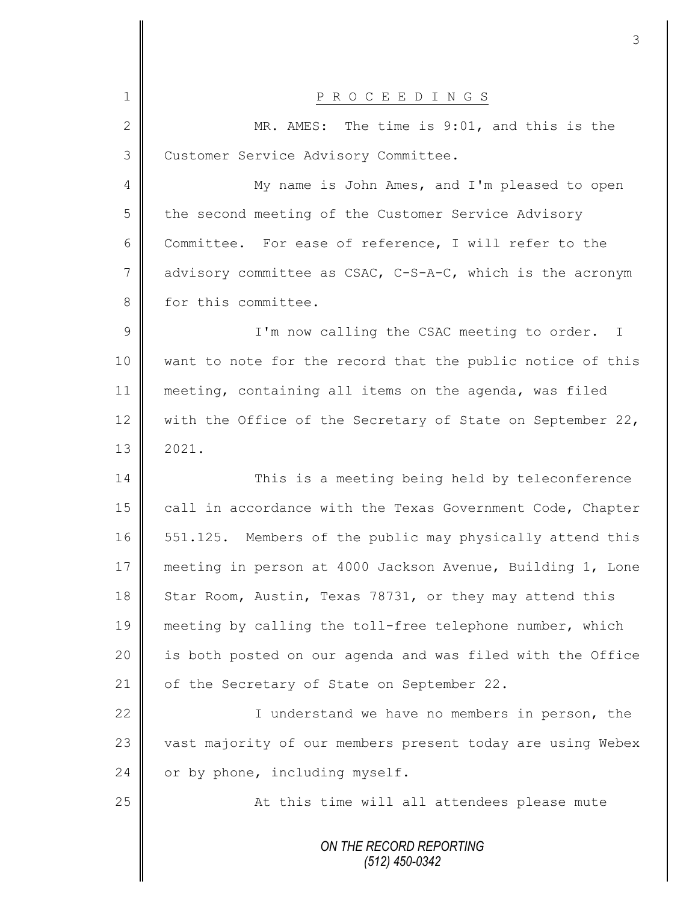|               | 3                                                          |
|---------------|------------------------------------------------------------|
|               |                                                            |
| 1             | P R O C E E D I N G S                                      |
| $\mathbf{2}$  | MR. AMES: The time is 9:01, and this is the                |
| 3             | Customer Service Advisory Committee.                       |
| 4             | My name is John Ames, and I'm pleased to open              |
| 5             | the second meeting of the Customer Service Advisory        |
| 6             | Committee. For ease of reference, I will refer to the      |
| 7             | advisory committee as CSAC, C-S-A-C, which is the acronym  |
| 8             | for this committee.                                        |
| $\mathcal{G}$ | I'm now calling the CSAC meeting to order.<br>$\mathbb{I}$ |
| 10            | want to note for the record that the public notice of this |
| 11            | meeting, containing all items on the agenda, was filed     |
| 12            | with the Office of the Secretary of State on September 22, |
| 13            | 2021.                                                      |
| 14            | This is a meeting being held by teleconference             |
| 15            | call in accordance with the Texas Government Code, Chapter |
| 16            | 551.125. Members of the public may physically attend this  |
| 17            | meeting in person at 4000 Jackson Avenue, Building 1, Lone |
| 18            | Star Room, Austin, Texas 78731, or they may attend this    |
| 19            | meeting by calling the toll-free telephone number, which   |
| 20            | is both posted on our agenda and was filed with the Office |
| 21            | of the Secretary of State on September 22.                 |
| 22            | I understand we have no members in person, the             |
| 23            | vast majority of our members present today are using Webex |
| 24            | or by phone, including myself.                             |
| 25            | At this time will all attendees please mute                |
|               | ON THE RECORD REPORTING                                    |
|               | (512) 450-0342                                             |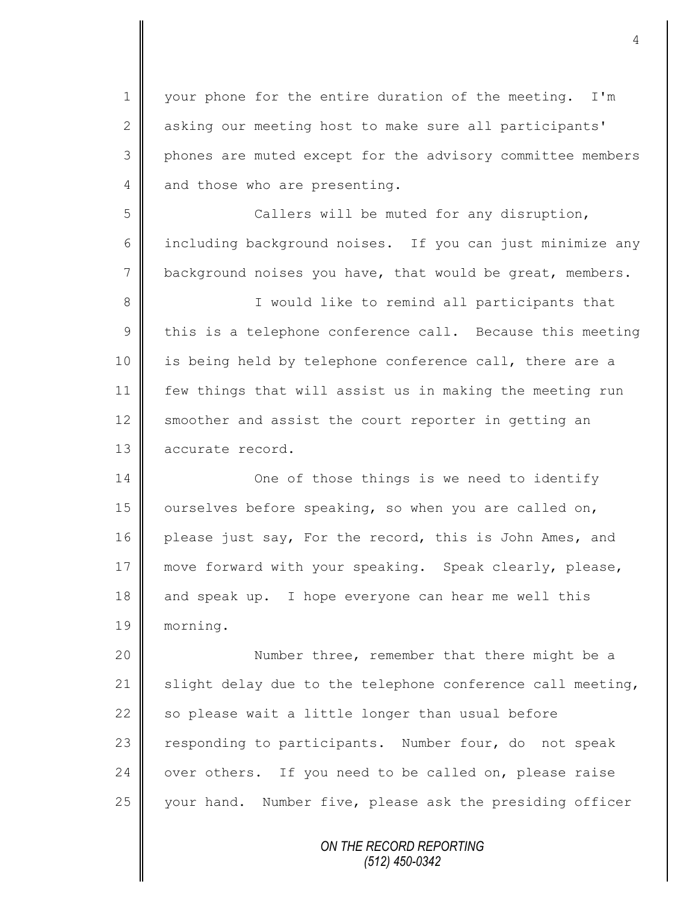1 || your phone for the entire duration of the meeting. I'm 2 asking our meeting host to make sure all participants' 3 || phones are muted except for the advisory committee members 4 and those who are presenting.

5 Callers will be muted for any disruption, 6 including background noises. If you can just minimize any 7 background noises you have, that would be great, members.

8 || Sould like to remind all participants that  $9 \parallel$  this is a telephone conference call. Because this meeting 10 | is being held by telephone conference call, there are a 11 few things that will assist us in making the meeting run 12 smoother and assist the court reporter in getting an 13 accurate record.

14 **||** One of those things is we need to identify 15 | ourselves before speaking, so when you are called on, 16 please just say, For the record, this is John Ames, and 17 move forward with your speaking. Speak clearly, please,  $18$  and speak up. I hope everyone can hear me well this 19 morning.

20 || Number three, remember that there might be a 21  $\parallel$  slight delay due to the telephone conference call meeting, 22  $\parallel$  so please wait a little longer than usual before 23 | responding to participants. Number four, do not speak 24 | over others. If you need to be called on, please raise 25 your hand. Number five, please ask the presiding officer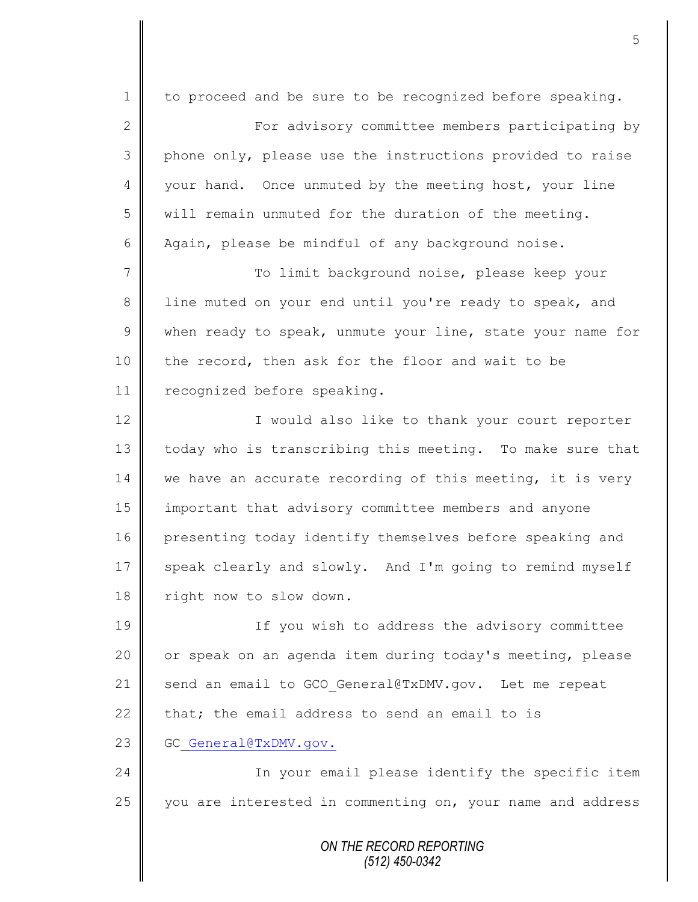*ON THE RECORD REPORTING (512) 450-0342* 1 to proceed and be sure to be recognized before speaking. 2 ||<br>
For advisory committee members participating by 3 phone only, please use the instructions provided to raise 4 || your hand. Once unmuted by the meeting host, your line 5 will remain unmuted for the duration of the meeting. 6  $\parallel$  Again, please be mindful of any background noise. 7 || To limit background noise, please keep your 8 || line muted on your end until you're ready to speak, and  $9 \parallel$  when ready to speak, unmute your line, state your name for 10 the record, then ask for the floor and wait to be 11 | recognized before speaking. 12 || I would also like to thank your court reporter 13 today who is transcribing this meeting. To make sure that  $14$  we have an accurate recording of this meeting, it is very 15 important that advisory committee members and anyone 16 presenting today identify themselves before speaking and 17 speak clearly and slowly. And I'm going to remind myself 18 | right now to slow down. 19 || If you wish to address the advisory committee 20 | or speak on an agenda item during today's meeting, please 21 send an email to GCO General@TxDMV.gov. Let me repeat 22  $\parallel$  that; the email address to send an email to is 23 GC General@TxDMV.gov. 24 In your email please identify the specific item 25 you are interested in commenting on, your name and address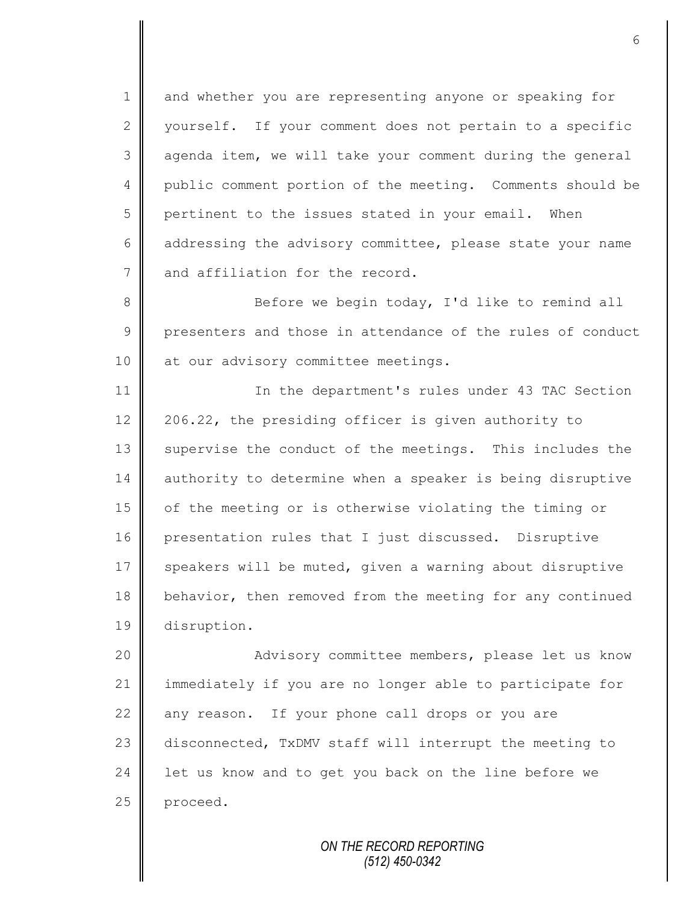1 and whether you are representing anyone or speaking for 2 | vourself. If your comment does not pertain to a specific 3 agenda item, we will take your comment during the general 4 public comment portion of the meeting. Comments should be  $5 \parallel$  pertinent to the issues stated in your email. When 6  $\parallel$  addressing the advisory committee, please state your name 7 and affiliation for the record.

8 Before we begin today, I'd like to remind all 9 presenters and those in attendance of the rules of conduct 10 || at our advisory committee meetings.

11 | In the department's rules under 43 TAC Section 12 206.22, the presiding officer is given authority to 13 Supervise the conduct of the meetings. This includes the 14 authority to determine when a speaker is being disruptive 15 of the meeting or is otherwise violating the timing or 16 presentation rules that I just discussed. Disruptive  $17$  speakers will be muted, given a warning about disruptive 18 behavior, then removed from the meeting for any continued 19 disruption.

20 || Advisory committee members, please let us know 21 || immediately if you are no longer able to participate for  $22$  any reason. If your phone call drops or you are 23 disconnected, TxDMV staff will interrupt the meeting to 24  $\parallel$  let us know and to get you back on the line before we 25 | proceed.

> *ON THE RECORD REPORTING (512) 450-0342*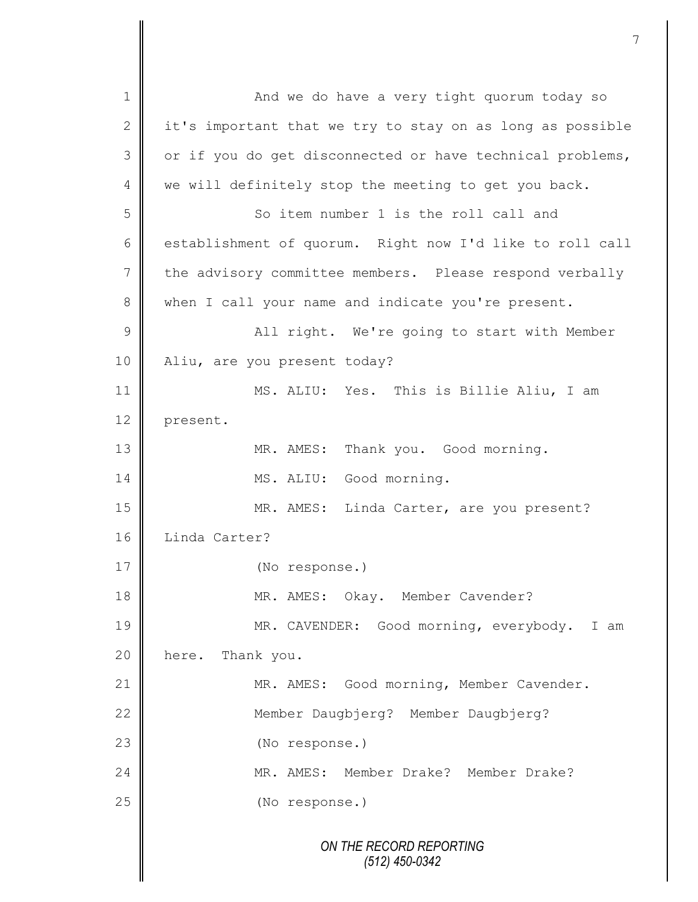*ON THE RECORD REPORTING (512) 450-0342* 1 And we do have a very tight quorum today so 2  $\parallel$  it's important that we try to stay on as long as possible  $3 \parallel$  or if you do get disconnected or have technical problems,  $4 \parallel$  we will definitely stop the meeting to get you back. 5 So item number 1 is the roll call and 6 establishment of quorum. Right now I'd like to roll call 7 the advisory committee members. Please respond verbally 8 when I call your name and indicate you're present. 9 || All right. We're going to start with Member 10 Aliu, are you present today? 11 MS. ALIU: Yes. This is Billie Aliu, I am 12 present. 13 MR. AMES: Thank you. Good morning. 14 || MS. ALIU: Good morning. 15 || MR. AMES: Linda Carter, are you present? 16 Linda Carter? 17 (No response.) 18 | MR. AMES: Okay. Member Cavender? 19 MR. CAVENDER: Good morning, everybody. I am 20 **here.** Thank you. 21 | MR. AMES: Good morning, Member Cavender. 22 | Member Daugbjerg? Member Daugbjerg? 23 || (No response.) 24 MR. AMES: Member Drake? Member Drake? 25 (No response.)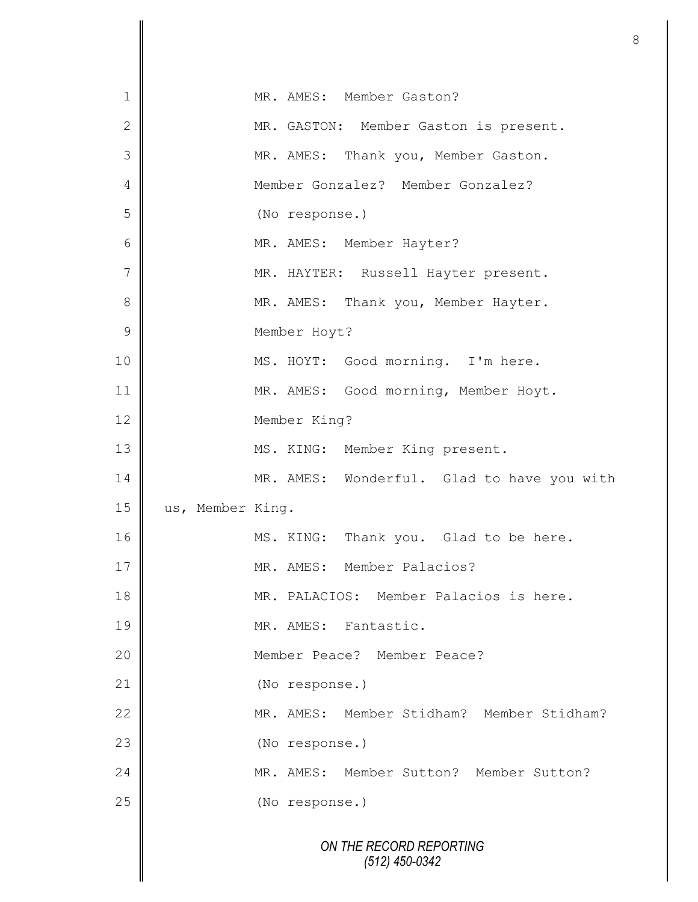| 1              |                  | MR. AMES: Member Gaston?                   |
|----------------|------------------|--------------------------------------------|
| $\overline{2}$ |                  | MR. GASTON: Member Gaston is present.      |
| 3              |                  | MR. AMES: Thank you, Member Gaston.        |
| 4              |                  | Member Gonzalez? Member Gonzalez?          |
| 5              |                  | (No response.)                             |
| 6              |                  | MR. AMES: Member Hayter?                   |
| 7              |                  | MR. HAYTER: Russell Hayter present.        |
| 8              |                  | MR. AMES: Thank you, Member Hayter.        |
| 9              |                  | Member Hoyt?                               |
| 10             |                  | MS. HOYT: Good morning. I'm here.          |
| 11             |                  | MR. AMES: Good morning, Member Hoyt.       |
| 12             |                  | Member King?                               |
| 13             |                  | MS. KING: Member King present.             |
| 14             |                  | MR. AMES: Wonderful. Glad to have you with |
| 15             | us, Member King. |                                            |
| 16             |                  | MS. KING: Thank you. Glad to be here.      |
| 17             |                  | MR. AMES: Member Palacios?                 |
| 18             |                  | MR. PALACIOS: Member Palacios is here.     |
| 19             |                  | MR. AMES: Fantastic.                       |
| 20             |                  | Member Peace? Member Peace?                |
| 21             |                  | (No response.)                             |
| 22             |                  | MR. AMES: Member Stidham? Member Stidham?  |
| 23             |                  | (No response.)                             |
| 24             |                  | MR. AMES: Member Sutton? Member Sutton?    |
| 25             |                  | (No response.)                             |
|                |                  | ON THE RECORD REPORTING<br>(512) 450-0342  |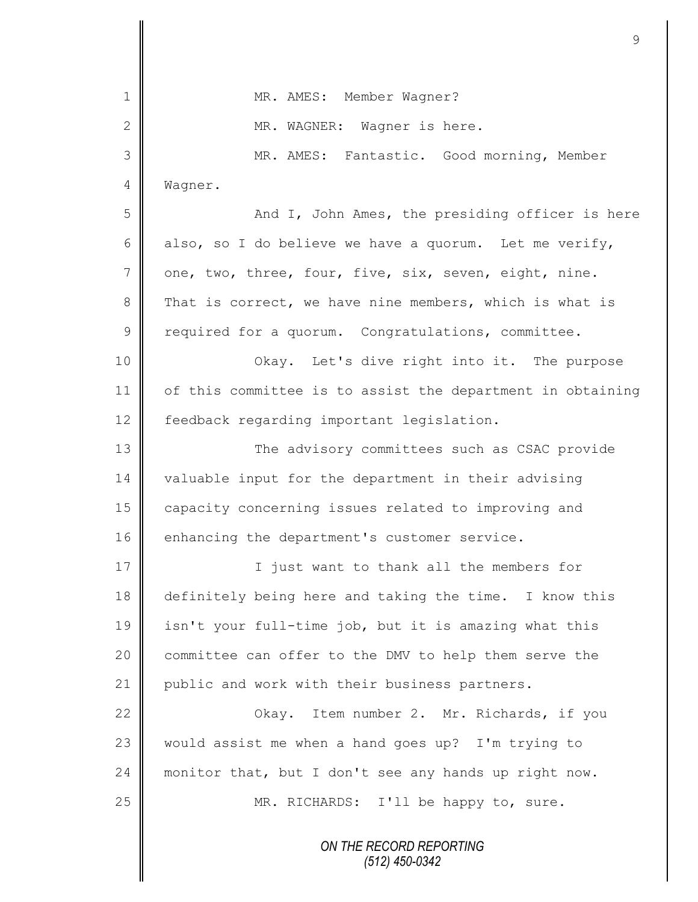|                | 9                                                          |
|----------------|------------------------------------------------------------|
| 1              | MR. AMES: Member Wagner?                                   |
| 2              | MR. WAGNER: Wagner is here.                                |
| 3              | MR. AMES: Fantastic. Good morning, Member                  |
| $\overline{4}$ |                                                            |
|                | Wagner.                                                    |
| 5              | And I, John Ames, the presiding officer is here            |
| 6              | also, so I do believe we have a quorum. Let me verify,     |
| $\overline{7}$ | one, two, three, four, five, six, seven, eight, nine.      |
| 8              | That is correct, we have nine members, which is what is    |
| $\mathcal{G}$  | required for a quorum. Congratulations, committee.         |
| 10             | Okay. Let's dive right into it. The purpose                |
| 11             | of this committee is to assist the department in obtaining |
| 12             | feedback regarding important legislation.                  |
| 13             | The advisory committees such as CSAC provide               |
| 14             | valuable input for the department in their advising        |
| 15             | capacity concerning issues related to improving and        |
| 16             | enhancing the department's customer service.               |
| 17             | I just want to thank all the members for                   |
| 18             | definitely being here and taking the time. I know this     |
| 19             | isn't your full-time job, but it is amazing what this      |
| 20             | committee can offer to the DMV to help them serve the      |
| 21             | public and work with their business partners.              |
| 22             | Item number 2. Mr. Richards, if you<br>Okay.               |
| 23             | would assist me when a hand goes up? I'm trying to         |
| 24             | monitor that, but I don't see any hands up right now.      |
| 25             | MR. RICHARDS: I'll be happy to, sure.                      |
|                | ON THE RECORD REPORTING<br>$(512)$ 450-0342                |

 $\mathbf l$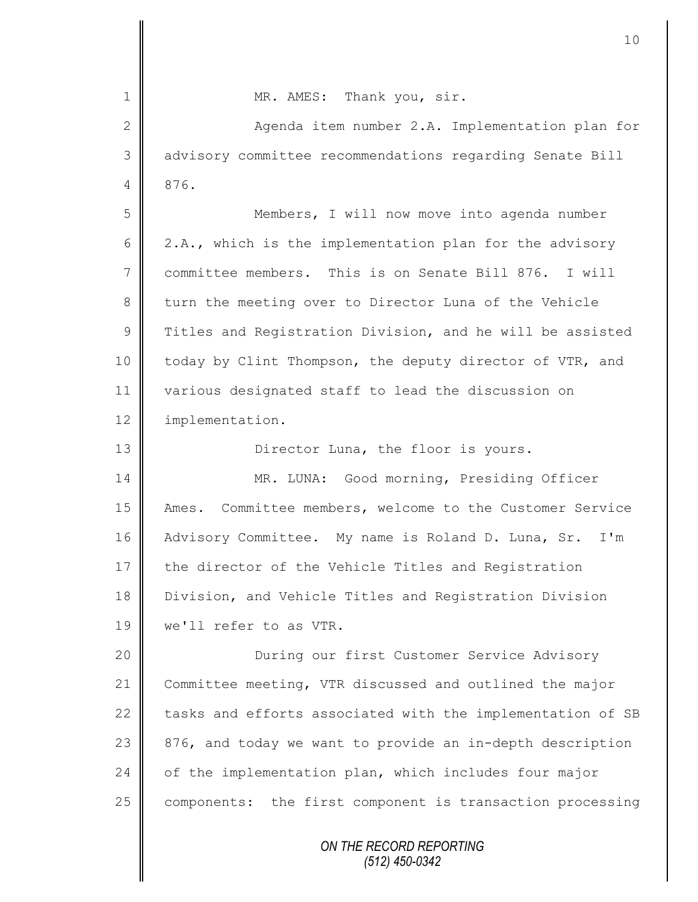*ON THE RECORD REPORTING (512) 450-0342* 1 || MR. AMES: Thank you, sir. 2 || Aqenda item number 2.A. Implementation plan for 3 advisory committee recommendations regarding Senate Bill 4 876. 5 Members, I will now move into agenda number 6  $\parallel$  2.A., which is the implementation plan for the advisory 7 committee members. This is on Senate Bill 876. I will 8 turn the meeting over to Director Luna of the Vehicle  $9 \parallel$  Titles and Registration Division, and he will be assisted 10 | today by Clint Thompson, the deputy director of VTR, and 11 various designated staff to lead the discussion on 12 | implementation. 13 || Director Luna, the floor is yours. 14 || MR. LUNA: Good morning, Presiding Officer 15 Ames. Committee members, welcome to the Customer Service 16 Advisory Committee. My name is Roland D. Luna, Sr. I'm 17 the director of the Vehicle Titles and Registration 18 Division, and Vehicle Titles and Registration Division 19 we'll refer to as VTR. 20 || **During our first Customer Service Advisory** 21 Committee meeting, VTR discussed and outlined the major 22  $\parallel$  tasks and efforts associated with the implementation of SB 23  $\parallel$  876, and today we want to provide an in-depth description  $24$  of the implementation plan, which includes four major 25 components: the first component is transaction processing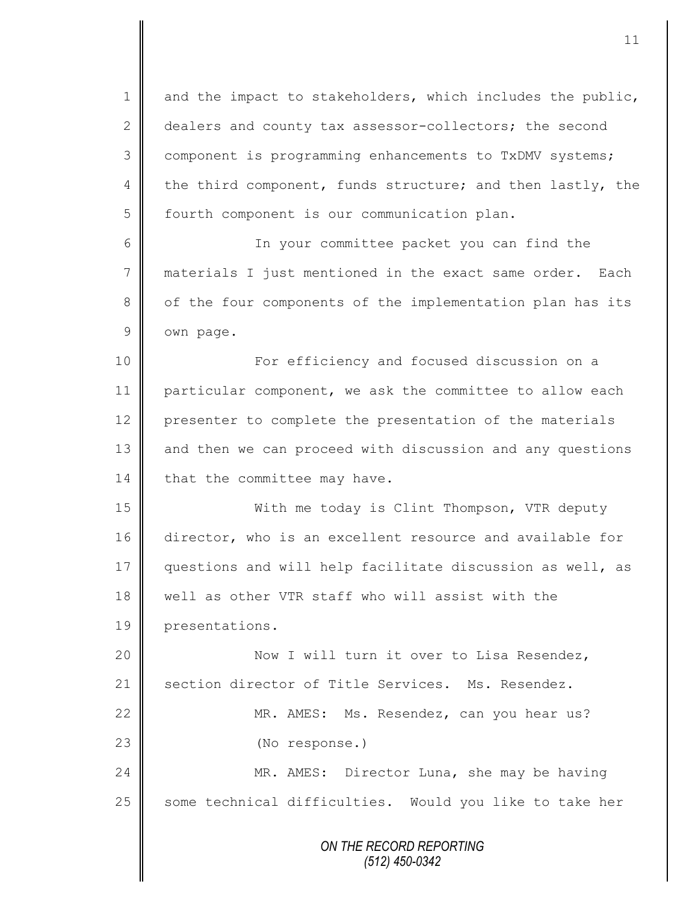1 and the impact to stakeholders, which includes the public, 2 dealers and county tax assessor-collectors; the second 3 component is programming enhancements to TxDMV systems; 4 the third component, funds structure; and then lastly, the 5 | fourth component is our communication plan.

6 In your committee packet you can find the 7 materials I just mentioned in the exact same order. Each 8 | of the four components of the implementation plan has its 9 own page.

10 For efficiency and focused discussion on a 11 particular component, we ask the committee to allow each 12 presenter to complete the presentation of the materials 13 and then we can proceed with discussion and any questions 14 that the committee may have.

15 With me today is Clint Thompson, VTR deputy 16 director, who is an excellent resource and available for 17 questions and will help facilitate discussion as well, as 18 | well as other VTR staff who will assist with the 19 presentations.

20 || Now I will turn it over to Lisa Resendez, 21 Section director of Title Services. Ms. Resendez.

22 | MR. AMES: Ms. Resendez, can you hear us? 23 || (No response.)

24 MR. AMES: Director Luna, she may be having  $25$  some technical difficulties. Would you like to take her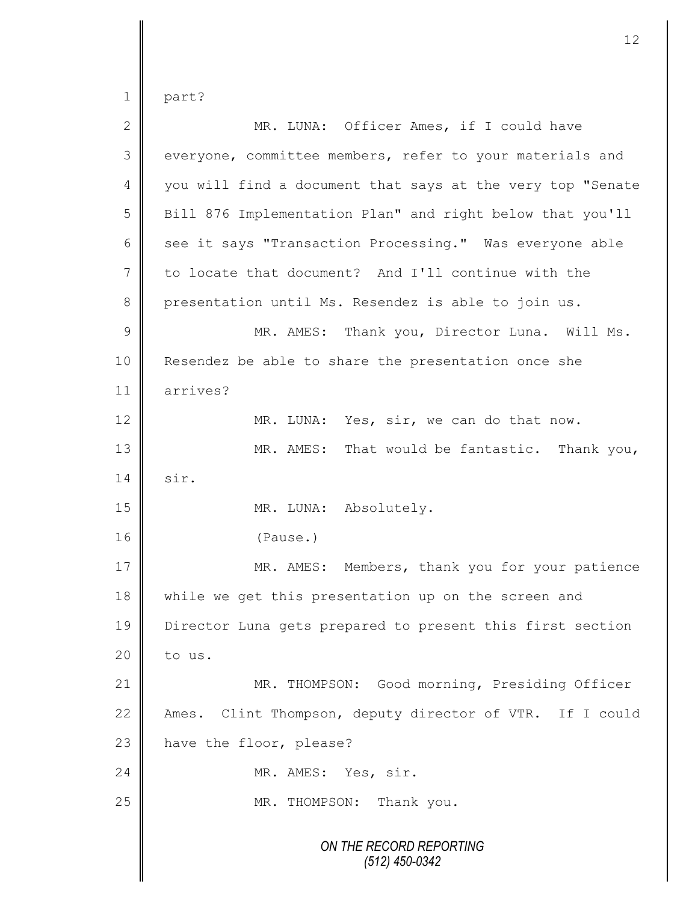$1 \parallel$  part?

| $\sqrt{2}$      | MR. LUNA: Officer Ames, if I could have                     |
|-----------------|-------------------------------------------------------------|
| 3               | everyone, committee members, refer to your materials and    |
| $\overline{4}$  | you will find a document that says at the very top "Senate  |
| 5               | Bill 876 Implementation Plan" and right below that you'll   |
| 6               | see it says "Transaction Processing." Was everyone able     |
| $7\phantom{.0}$ | to locate that document? And I'll continue with the         |
| 8               | presentation until Ms. Resendez is able to join us.         |
| $\mathcal{G}$   | MR. AMES: Thank you, Director Luna. Will Ms.                |
| 10              | Resendez be able to share the presentation once she         |
| 11              | arrives?                                                    |
| 12              | MR. LUNA: Yes, sir, we can do that now.                     |
| 13              | MR. AMES: That would be fantastic. Thank you,               |
| 14              | sir.                                                        |
| 15              | MR. LUNA: Absolutely.                                       |
| 16              | (Pause.)                                                    |
| 17              | MR. AMES: Members, thank you for your patience              |
| 18              | while we get this presentation up on the screen and         |
| 19              | Director Luna gets prepared to present this first section   |
| 20              | to us.                                                      |
| 21              | MR. THOMPSON: Good morning, Presiding Officer               |
| 22              | Clint Thompson, deputy director of VTR. If I could<br>Ames. |
| 23              | have the floor, please?                                     |
| 24              | MR. AMES: Yes, sir.                                         |
| 25              | MR. THOMPSON: Thank you.                                    |
|                 | ON THE RECORD REPORTING<br>$(512)$ 450-0342                 |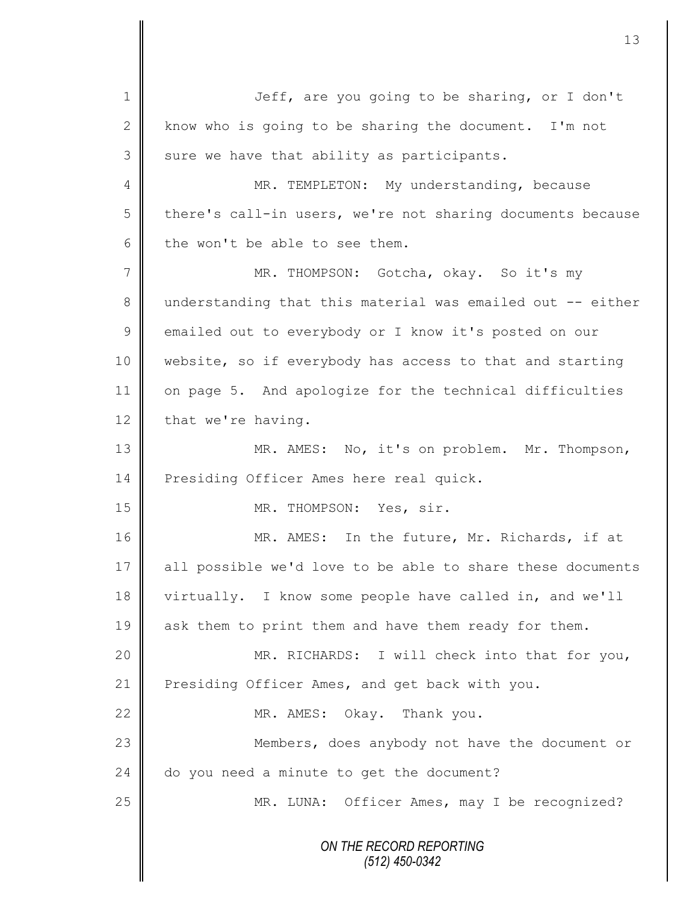*ON THE RECORD REPORTING (512) 450-0342* 1 || Jeff, are you going to be sharing, or I don't 2 know who is going to be sharing the document. I'm not  $3$  sure we have that ability as participants. 4 MR. TEMPLETON: My understanding, because  $5 \parallel$  there's call-in users, we're not sharing documents because  $6$  the won't be able to see them. 7 MR. THOMPSON: Gotcha, okay. So it's my 8 understanding that this material was emailed out -- either 9 emailed out to everybody or I know it's posted on our 10 website, so if everybody has access to that and starting 11 on page 5. And apologize for the technical difficulties  $12$  that we're having. 13 MR. AMES: No, it's on problem. Mr. Thompson, 14 **Presiding Officer Ames here real quick.** 15 NR. THOMPSON: Yes, sir. 16 || MR. AMES: In the future, Mr. Richards, if at 17 all possible we'd love to be able to share these documents 18 virtually. I know some people have called in, and we'll 19 ask them to print them and have them ready for them. 20 | MR. RICHARDS: I will check into that for you, 21 | Presiding Officer Ames, and get back with you. 22 || MR. AMES: Okay. Thank you. 23 Members, does anybody not have the document or  $24$  | do you need a minute to get the document? 25 || MR. LUNA: Officer Ames, may I be recognized?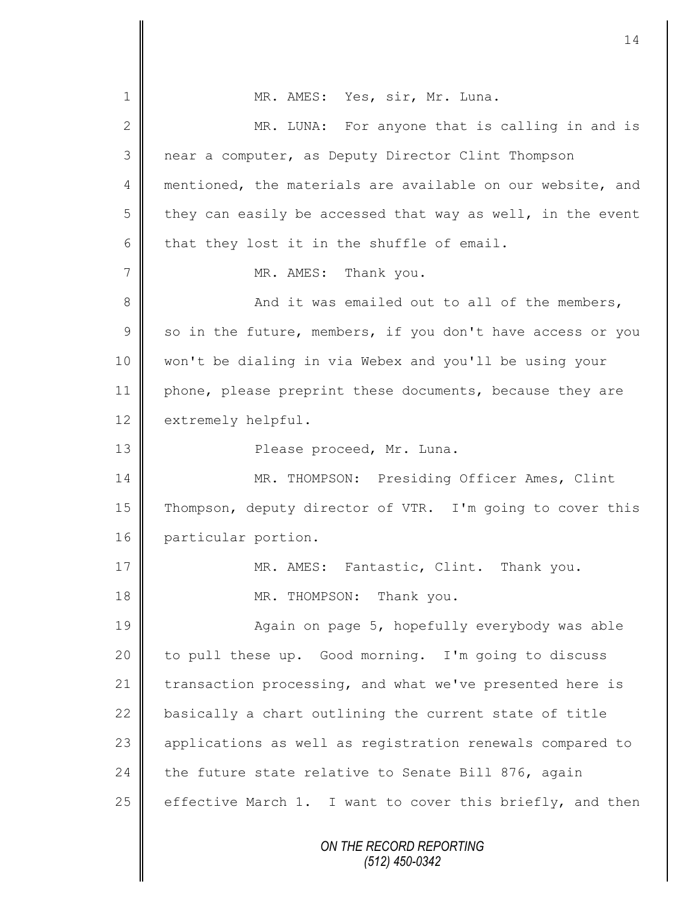*ON THE RECORD REPORTING (512) 450-0342* 1 | MR. AMES: Yes, sir, Mr. Luna. 2 MR. LUNA: For anyone that is calling in and is 3 near a computer, as Deputy Director Clint Thompson 4 mentioned, the materials are available on our website, and 5 they can easily be accessed that way as well, in the event 6 that they lost it in the shuffle of email. 7 || MR. AMES: Thank you. 8 And it was emailed out to all of the members,  $9 \parallel$  so in the future, members, if you don't have access or you 10 won't be dialing in via Webex and you'll be using your 11 | phone, please preprint these documents, because they are 12 extremely helpful. 13 || Please proceed, Mr. Luna. 14 | MR. THOMPSON: Presiding Officer Ames, Clint 15 Thompson, deputy director of VTR. I'm going to cover this 16 particular portion. 17 **MR. AMES:** Fantastic, Clint. Thank you. 18 || MR. THOMPSON: Thank you. 19 || Again on page 5, hopefully everybody was able 20 to pull these up. Good morning. I'm going to discuss 21 transaction processing, and what we've presented here is 22 basically a chart outlining the current state of title 23 || applications as well as registration renewals compared to 24 the future state relative to Senate Bill 876, again 25  $\parallel$  effective March 1. I want to cover this briefly, and then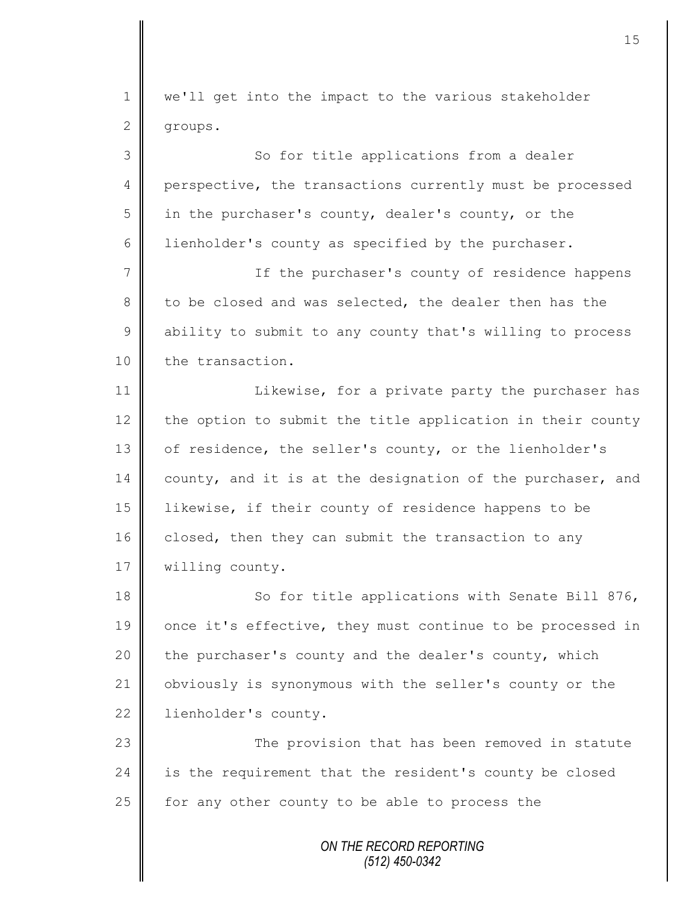1 we'll get into the impact to the various stakeholder 2 groups. 3 || So for title applications from a dealer 4 perspective, the transactions currently must be processed 5 in the purchaser's county, dealer's county, or the 6 | lienholder's county as specified by the purchaser. 7 || If the purchaser's county of residence happens 8 to be closed and was selected, the dealer then has the 9 ability to submit to any county that's willing to process 10 the transaction. 11 | Likewise, for a private party the purchaser has 12 the option to submit the title application in their county 13 of residence, the seller's county, or the lienholder's 14 county, and it is at the designation of the purchaser, and 15 likewise, if their county of residence happens to be 16 closed, then they can submit the transaction to any

17 | willing county.

18 || So for title applications with Senate Bill 876, 19 once it's effective, they must continue to be processed in 20 the purchaser's county and the dealer's county, which 21 | obviously is synonymous with the seller's county or the 22 | lienholder's county.

23 || The provision that has been removed in statute 24 is the requirement that the resident's county be closed 25  $\parallel$  for any other county to be able to process the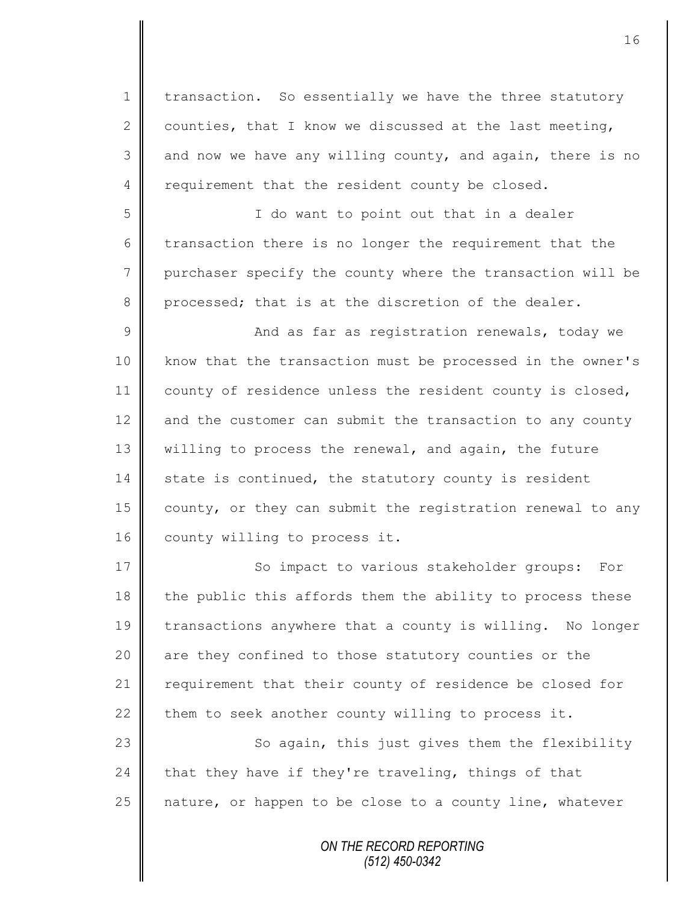1 | transaction. So essentially we have the three statutory 2 counties, that I know we discussed at the last meeting,  $3 \parallel$  and now we have any willing county, and again, there is no  $4 \parallel$  requirement that the resident county be closed.

5 I do want to point out that in a dealer  $6 \parallel$  transaction there is no longer the requirement that the 7 | purchaser specify the county where the transaction will be  $8 \parallel$  processed; that is at the discretion of the dealer.

9 || And as far as registration renewals, today we 10 | know that the transaction must be processed in the owner's 11 | county of residence unless the resident county is closed, 12  $\parallel$  and the customer can submit the transaction to any county 13 | willing to process the renewal, and again, the future  $14$  state is continued, the statutory county is resident 15 | county, or they can submit the registration renewal to any 16 | county willing to process it.

17 || So impact to various stakeholder groups: For 18  $\parallel$  the public this affords them the ability to process these 19 transactions anywhere that a county is willing. No longer 20 || are they confined to those statutory counties or the 21 | requirement that their county of residence be closed for 22 them to seek another county willing to process it.

23 || So again, this just gives them the flexibility 24 that they have if they're traveling, things of that 25  $\parallel$  nature, or happen to be close to a county line, whatever

> *ON THE RECORD REPORTING (512) 450-0342*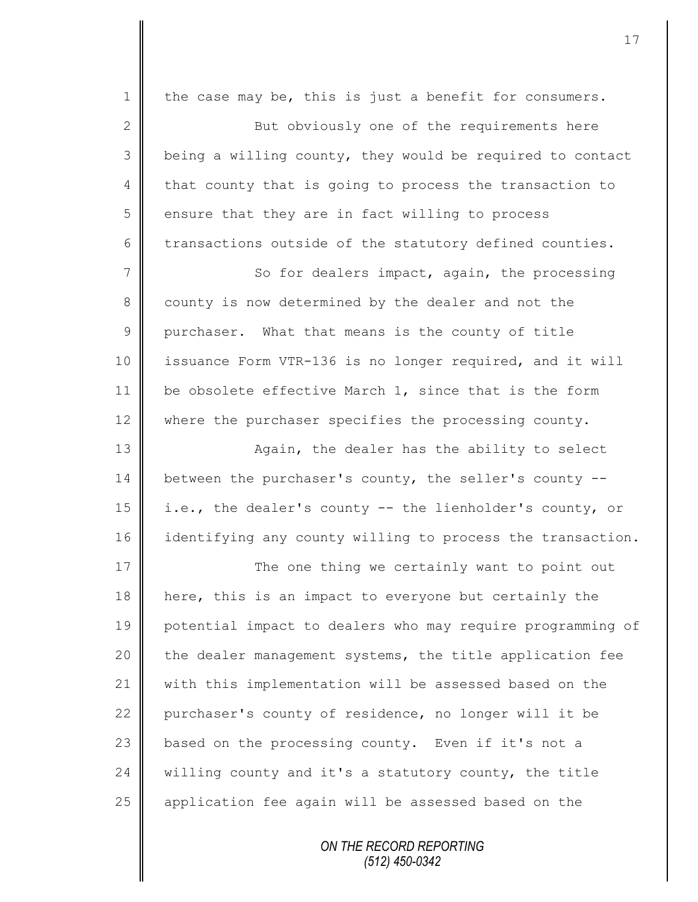| $\mathbf 1$    | the case may be, this is just a benefit for consumers.     |
|----------------|------------------------------------------------------------|
| $\mathbf{2}$   | But obviously one of the requirements here                 |
| 3              | being a willing county, they would be required to contact  |
| $\overline{4}$ | that county that is going to process the transaction to    |
| 5              | ensure that they are in fact willing to process            |
| 6              | transactions outside of the statutory defined counties.    |
| $\overline{7}$ | So for dealers impact, again, the processing               |
| 8              | county is now determined by the dealer and not the         |
| $\mathcal{G}$  | purchaser. What that means is the county of title          |
| 10             | issuance Form VTR-136 is no longer required, and it will   |
| 11             | be obsolete effective March 1, since that is the form      |
| 12             | where the purchaser specifies the processing county.       |
| 13             | Again, the dealer has the ability to select                |
| 14             | between the purchaser's county, the seller's county --     |
| 15             | i.e., the dealer's county -- the lienholder's county, or   |
| 16             | identifying any county willing to process the transaction. |
| 17             | The one thing we certainly want to point out               |
| 18             | here, this is an impact to everyone but certainly the      |
| 19             | potential impact to dealers who may require programming of |
| 20             | the dealer management systems, the title application fee   |
| 21             | with this implementation will be assessed based on the     |
| 22             | purchaser's county of residence, no longer will it be      |
| 23             | based on the processing county. Even if it's not a         |
| 24             | willing county and it's a statutory county, the title      |
| 25             | application fee again will be assessed based on the        |
|                |                                                            |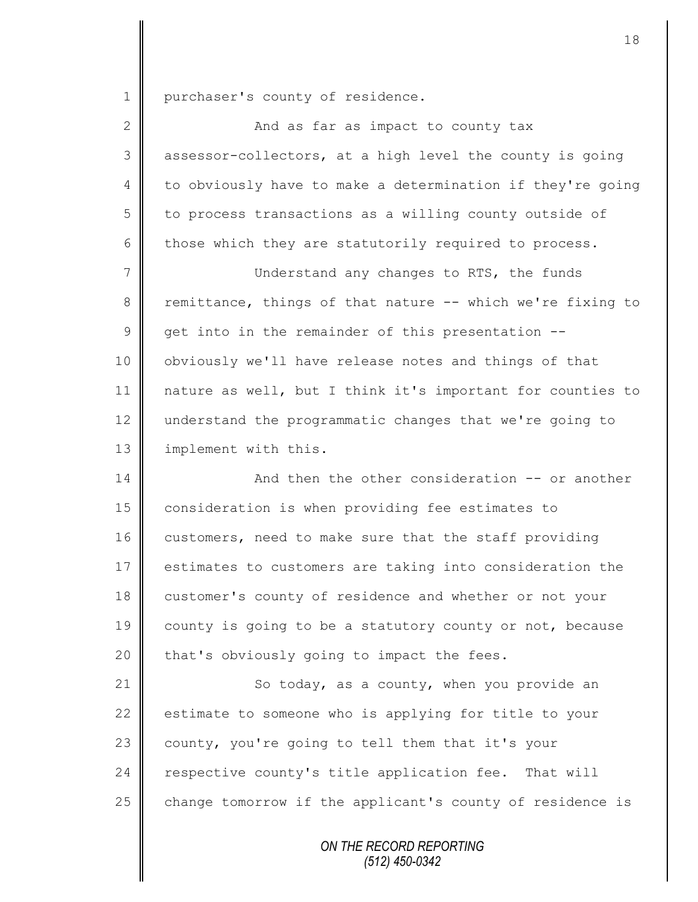1 purchaser's county of residence.

| $\overline{2}$ | And as far as impact to county tax                         |
|----------------|------------------------------------------------------------|
| 3              | assessor-collectors, at a high level the county is going   |
| 4              | to obviously have to make a determination if they're going |
| 5              | to process transactions as a willing county outside of     |
| 6              | those which they are statutorily required to process.      |
| 7              | Understand any changes to RTS, the funds                   |
| 8              | remittance, things of that nature -- which we're fixing to |
| 9              | get into in the remainder of this presentation --          |
| 10             | obviously we'll have release notes and things of that      |
| 11             | nature as well, but I think it's important for counties to |
| 12             | understand the programmatic changes that we're going to    |
| 13             | implement with this.                                       |
| 14             | And then the other consideration -- or another             |
| 15             | consideration is when providing fee estimates to           |
| 16             | customers, need to make sure that the staff providing      |
| 17             | estimates to customers are taking into consideration the   |
| 18             | customer's county of residence and whether or not your     |
| 19             | county is going to be a statutory county or not, because   |
| 20             | that's obviously going to impact the fees.                 |
| 21             | So today, as a county, when you provide an                 |
| 22             | estimate to someone who is applying for title to your      |
| 23             | county, you're going to tell them that it's your           |
| 24             | respective county's title application fee.<br>That will    |
| 25             | change tomorrow if the applicant's county of residence is  |
|                |                                                            |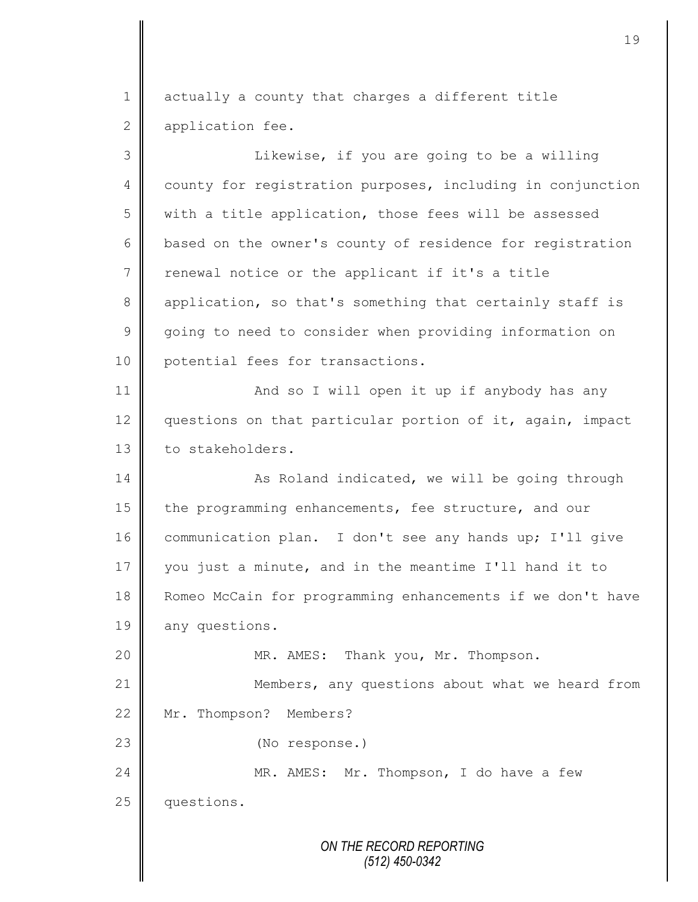$1 \parallel$  actually a county that charges a different title 2 application fee.

*ON THE RECORD REPORTING* 3 || Likewise, if you are going to be a willing 4 county for registration purposes, including in conjunction 5 with a title application, those fees will be assessed  $6 \parallel$  based on the owner's county of residence for registration  $7 \parallel$  renewal notice or the applicant if it's a title 8 application, so that's something that certainly staff is 9 going to need to consider when providing information on 10 potential fees for transactions. 11 | And so I will open it up if anybody has any 12 questions on that particular portion of it, again, impact 13 to stakeholders. 14 | As Roland indicated, we will be going through 15 the programming enhancements, fee structure, and our 16 communication plan. I don't see any hands up; I'll give 17 you just a minute, and in the meantime I'll hand it to 18 Romeo McCain for programming enhancements if we don't have 19 any questions. 20  $\parallel$  MR. AMES: Thank you, Mr. Thompson. 21 | Members, any questions about what we heard from 22 Mr. Thompson? Members? 23 || (No response.) 24 MR. AMES: Mr. Thompson, I do have a few 25 questions.

*(512) 450-0342*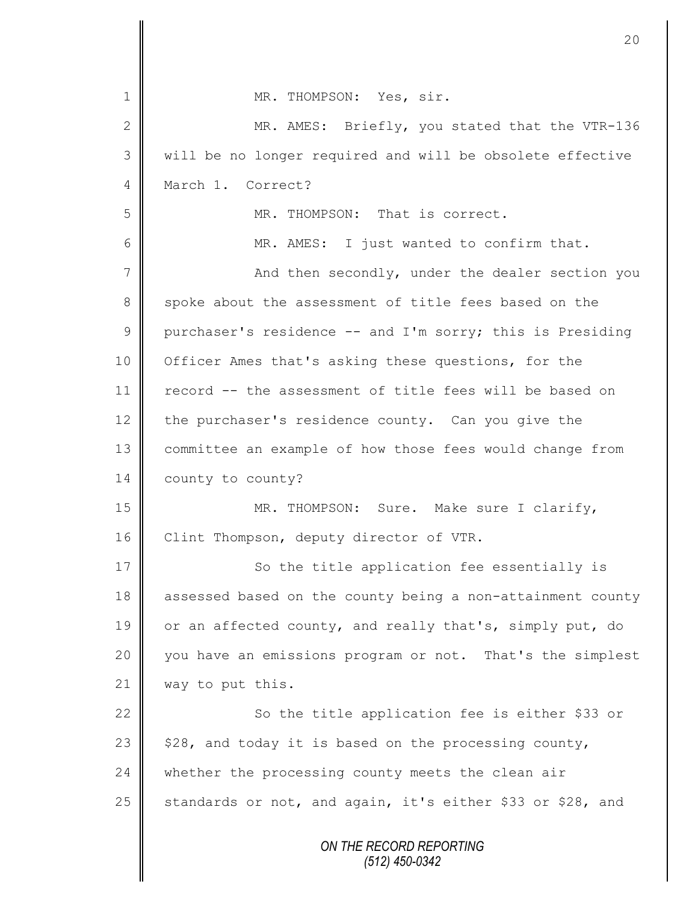|               | 20                                                         |
|---------------|------------------------------------------------------------|
|               |                                                            |
| 1             | MR. THOMPSON: Yes, sir.                                    |
| 2             | MR. AMES: Briefly, you stated that the VTR-136             |
| 3             | will be no longer required and will be obsolete effective  |
| 4             | March 1. Correct?                                          |
| 5             | MR. THOMPSON: That is correct.                             |
| 6             | MR. AMES: I just wanted to confirm that.                   |
| 7             | And then secondly, under the dealer section you            |
| 8             | spoke about the assessment of title fees based on the      |
| $\mathcal{G}$ | purchaser's residence -- and I'm sorry; this is Presiding  |
| 10            | Officer Ames that's asking these questions, for the        |
| 11            | record -- the assessment of title fees will be based on    |
| 12            | the purchaser's residence county. Can you give the         |
| 13            | committee an example of how those fees would change from   |
| 14            | county to county?                                          |
| 15            | MR. THOMPSON: Sure. Make sure I clarify,                   |
| 16            | Clint Thompson, deputy director of VTR.                    |
| 17            | So the title application fee essentially is                |
| 18            | assessed based on the county being a non-attainment county |
| 19            | or an affected county, and really that's, simply put, do   |
| 20            | you have an emissions program or not. That's the simplest  |
| 21            | way to put this.                                           |
| 22            | So the title application fee is either \$33 or             |
| 23            | \$28, and today it is based on the processing county,      |
| 24            | whether the processing county meets the clean air          |
| 25            | standards or not, and again, it's either \$33 or \$28, and |
|               | ON THE RECORD REPORTING<br>(512) 450-0342                  |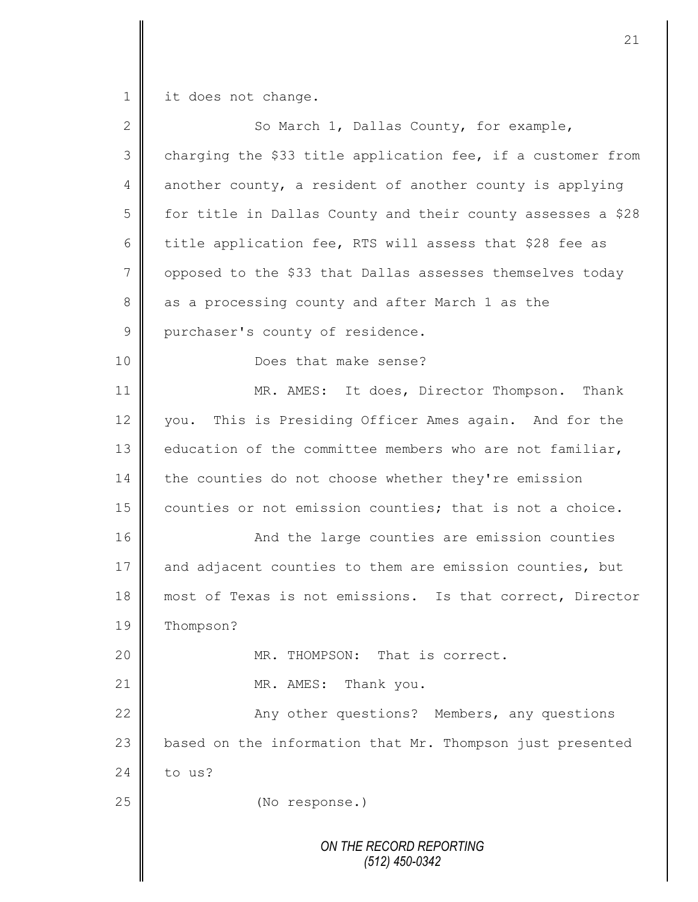1 it does not change.

| $\overline{2}$ | So March 1, Dallas County, for example,                     |
|----------------|-------------------------------------------------------------|
| 3              | charging the \$33 title application fee, if a customer from |
| $\overline{4}$ | another county, a resident of another county is applying    |
| 5              | for title in Dallas County and their county assesses a \$28 |
| 6              | title application fee, RTS will assess that \$28 fee as     |
| $\overline{7}$ | opposed to the \$33 that Dallas assesses themselves today   |
| $\,8\,$        | as a processing county and after March 1 as the             |
| $\mathcal{G}$  | purchaser's county of residence.                            |
| 10             | Does that make sense?                                       |
| 11             | MR. AMES: It does, Director Thompson. Thank                 |
| 12             | you. This is Presiding Officer Ames again. And for the      |
| 13             | education of the committee members who are not familiar,    |
| 14             | the counties do not choose whether they're emission         |
| 15             | counties or not emission counties; that is not a choice.    |
| 16             | And the large counties are emission counties                |
| 17             | and adjacent counties to them are emission counties, but    |
| 18             | most of Texas is not emissions. Is that correct, Director   |
| 19             | Thompson?                                                   |
| 20             | MR. THOMPSON: That is correct.                              |
| 21             | Thank you.<br>MR. AMES:                                     |
| 22             | Any other questions? Members, any questions                 |
| 23             | based on the information that Mr. Thompson just presented   |
| 24             | to us?                                                      |
| 25             | (No response.)                                              |
|                |                                                             |
|                | ON THE RECORD REPORTING<br>(512) 450-0342                   |
|                |                                                             |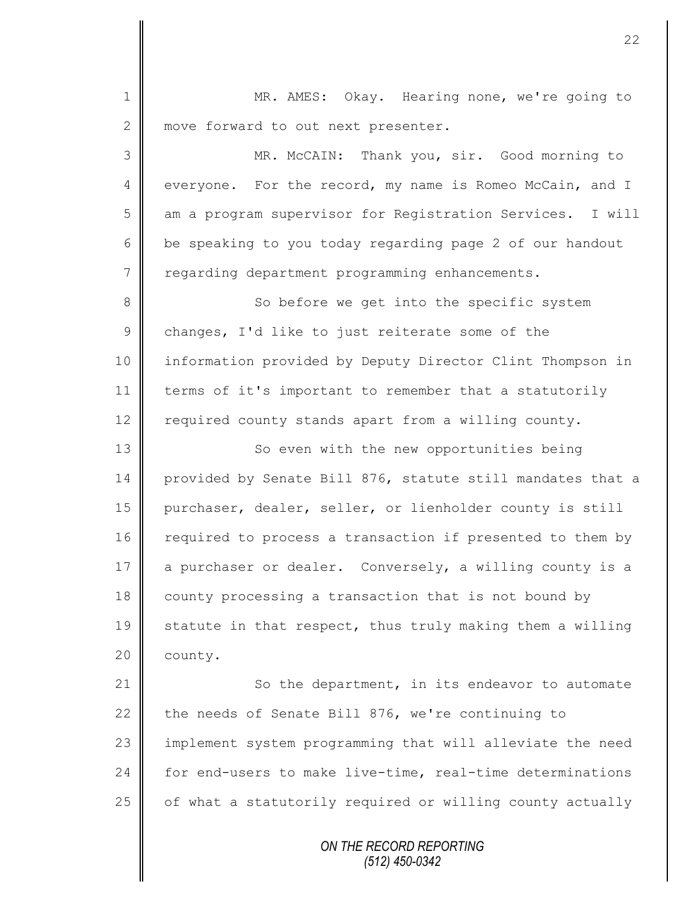1 MR. AMES: Okay. Hearing none, we're going to 2 move forward to out next presenter. 3 MR. McCAIN: Thank you, sir. Good morning to 4 everyone. For the record, my name is Romeo McCain, and I 5 am a program supervisor for Registration Services. I will 6 be speaking to you today regarding page 2 of our handout 7 | regarding department programming enhancements. 8 So before we get into the specific system  $9 \parallel$  changes, I'd like to just reiterate some of the 10 information provided by Deputy Director Clint Thompson in 11 terms of it's important to remember that a statutorily 12 required county stands apart from a willing county. 13 | So even with the new opportunities being 14 provided by Senate Bill 876, statute still mandates that a 15 purchaser, dealer, seller, or lienholder county is still 16 required to process a transaction if presented to them by 17 a purchaser or dealer. Conversely, a willing county is a 18 county processing a transaction that is not bound by 19  $\parallel$  statute in that respect, thus truly making them a willing 20 | county. 21 So the department, in its endeavor to automate 22 the needs of Senate Bill 876, we're continuing to 23 | implement system programming that will alleviate the need 24 for end-users to make live-time, real-time determinations  $25$  of what a statutorily required or willing county actually

*ON THE RECORD REPORTING (512) 450-0342*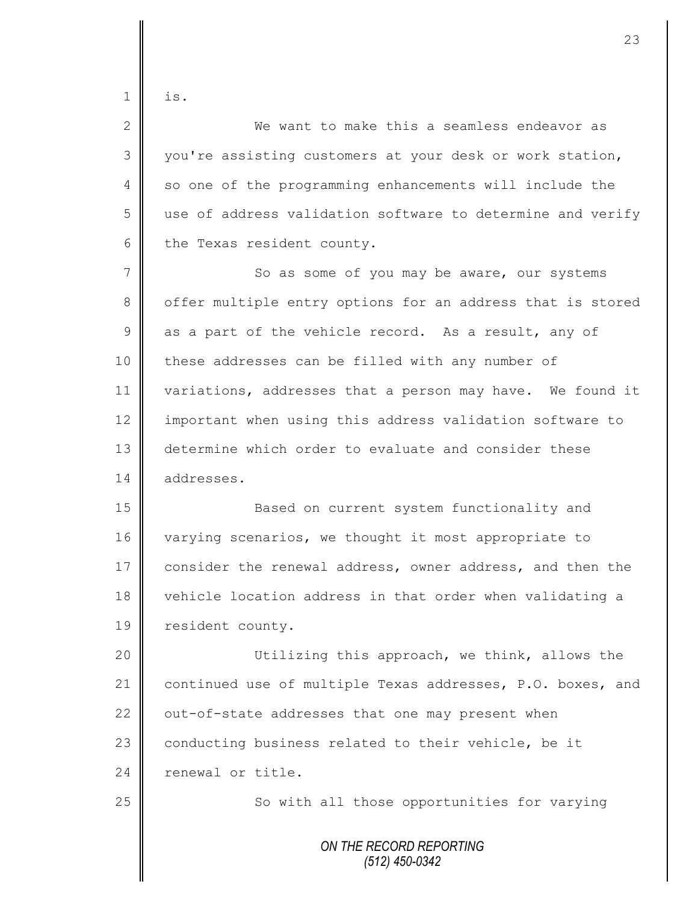$1 \parallel$  is.

| $\overline{2}$ | We want to make this a seamless endeavor as                |
|----------------|------------------------------------------------------------|
| 3              | you're assisting customers at your desk or work station,   |
| $\overline{4}$ | so one of the programming enhancements will include the    |
| 5              | use of address validation software to determine and verify |
| 6              | the Texas resident county.                                 |
| $\overline{7}$ | So as some of you may be aware, our systems                |
| 8              | offer multiple entry options for an address that is stored |
| 9              | as a part of the vehicle record. As a result, any of       |
| 10             | these addresses can be filled with any number of           |
| 11             | variations, addresses that a person may have. We found it  |
| 12             | important when using this address validation software to   |
| 13             | determine which order to evaluate and consider these       |
| 14             | addresses.                                                 |
| 15             | Based on current system functionality and                  |
| 16             | varying scenarios, we thought it most appropriate to       |
| 17             | consider the renewal address, owner address, and then the  |
| 18             | vehicle location address in that order when validating a   |
| 19             | resident county.                                           |
| 20             | Utilizing this approach, we think, allows the              |
| 21             | continued use of multiple Texas addresses, P.O. boxes, and |
| 22             | out-of-state addresses that one may present when           |
| 23             | conducting business related to their vehicle, be it        |
| 24             | renewal or title.                                          |
| 25             | So with all those opportunities for varying                |
|                | ON THE RECORD REPORTING<br>$(512)$ 450-0342                |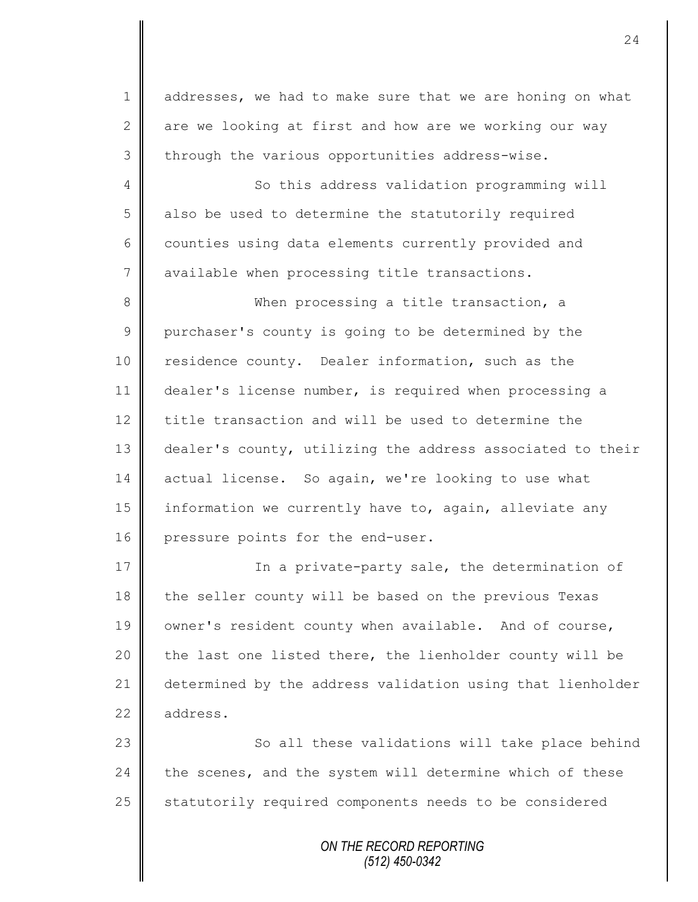1 addresses, we had to make sure that we are honing on what 2 are we looking at first and how are we working our way  $3 \parallel$  through the various opportunities address-wise.

4 || So this address validation programming will 5 also be used to determine the statutorily required 6 counties using data elements currently provided and 7 | available when processing title transactions.

8 When processing a title transaction, a 9 purchaser's county is going to be determined by the 10 residence county. Dealer information, such as the 11 dealer's license number, is required when processing a 12 title transaction and will be used to determine the 13 dealer's county, utilizing the address associated to their 14 actual license. So again, we're looking to use what 15 information we currently have to, again, alleviate any 16 pressure points for the end-user.

17 || In a private-party sale, the determination of 18 the seller county will be based on the previous Texas 19 | owner's resident county when available. And of course, 20  $\parallel$  the last one listed there, the lienholder county will be 21 determined by the address validation using that lienholder 22 address.

23 | So all these validations will take place behind  $24$  the scenes, and the system will determine which of these 25 Statutorily required components needs to be considered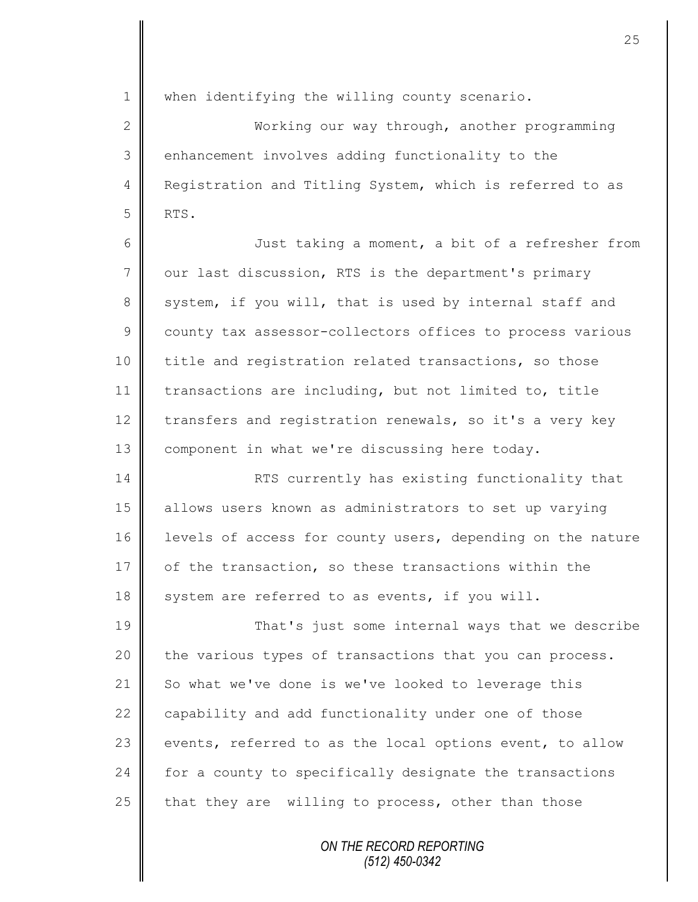1 || when identifying the willing county scenario. 2 Working our way through, another programming 3 enhancement involves adding functionality to the 4 Registration and Titling System, which is referred to as  $5$  RTS. 6 || Just taking a moment, a bit of a refresher from 7 | our last discussion, RTS is the department's primary 8 system, if you will, that is used by internal staff and 9 county tax assessor-collectors offices to process various 10 | title and registration related transactions, so those 11 | transactions are including, but not limited to, title 12 transfers and registration renewals, so it's a very key 13 | component in what we're discussing here today. 14 **RTS** currently has existing functionality that 15 allows users known as administrators to set up varying 16 levels of access for county users, depending on the nature 17 of the transaction, so these transactions within the 18  $\parallel$  system are referred to as events, if you will. 19 That's just some internal ways that we describe  $20$  the various types of transactions that you can process. 21 So what we've done is we've looked to leverage this 22 capability and add functionality under one of those

> *ON THE RECORD REPORTING (512) 450-0342*

23  $\parallel$  events, referred to as the local options event, to allow

24 for a county to specifically designate the transactions

25 that they are willing to process, other than those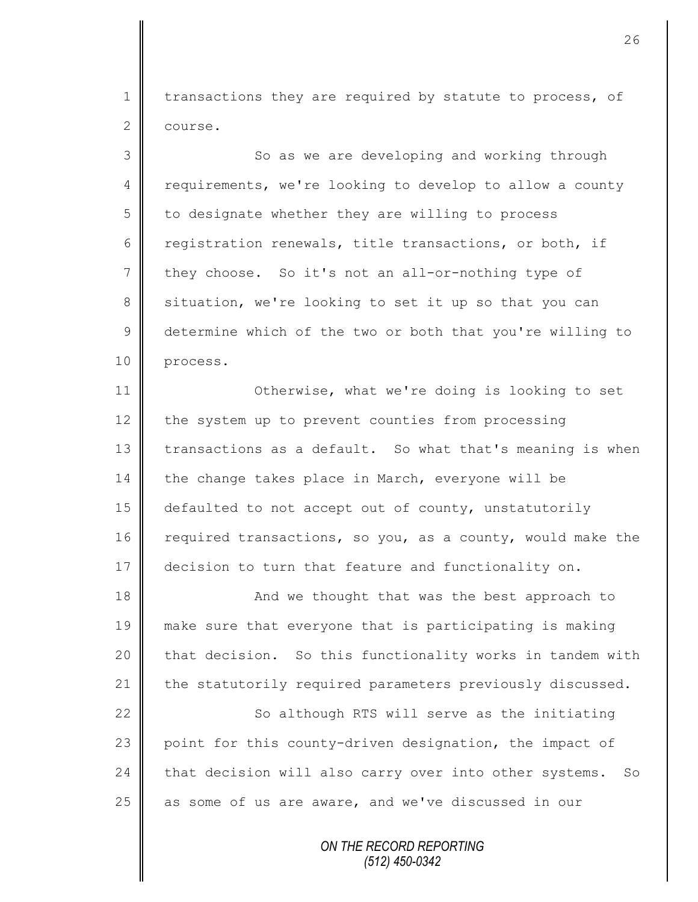1 | transactions they are required by statute to process, of 2 course.

3 || So as we are developing and working through 4 requirements, we're looking to develop to allow a county  $5 \parallel$  to designate whether they are willing to process 6 registration renewals, title transactions, or both, if  $7 \parallel$  they choose. So it's not an all-or-nothing type of 8 situation, we're looking to set it up so that you can 9 determine which of the two or both that you're willing to 10 process. 11 **||** Otherwise, what we're doing is looking to set 12 the system up to prevent counties from processing 13 transactions as a default. So what that's meaning is when  $14$  the change takes place in March, everyone will be 15 defaulted to not accept out of county, unstatutorily 16 required transactions, so you, as a county, would make the 17 decision to turn that feature and functionality on.

18 **And we thought that was the best approach to** 19 make sure that everyone that is participating is making 20 that decision. So this functionality works in tandem with 21 the statutorily required parameters previously discussed.

22 So although RTS will serve as the initiating 23 point for this county-driven designation, the impact of  $24$  that decision will also carry over into other systems. So 25  $\parallel$  as some of us are aware, and we've discussed in our

> *ON THE RECORD REPORTING (512) 450-0342*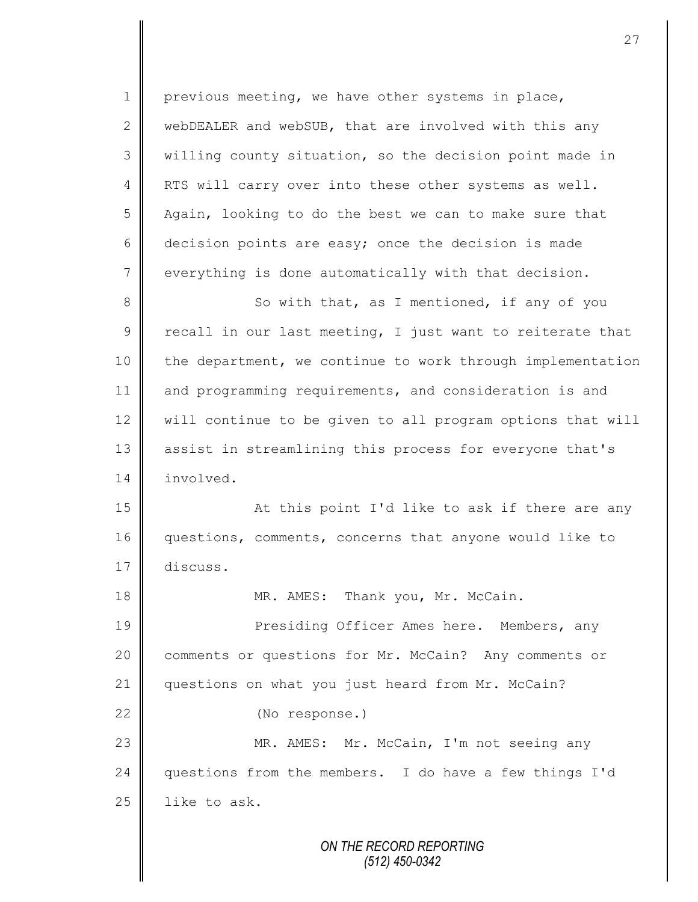1 | previous meeting, we have other systems in place, 2 WebDEALER and webSUB, that are involved with this any 3 willing county situation, so the decision point made in 4 | RTS will carry over into these other systems as well. 5 Again, looking to do the best we can to make sure that 6 decision points are easy; once the decision is made 7 everything is done automatically with that decision. 8 So with that, as I mentioned, if any of you  $9 \parallel$  recall in our last meeting, I just want to reiterate that 10 the department, we continue to work through implementation 11 and programming requirements, and consideration is and 12 | will continue to be given to all program options that will 13 assist in streamlining this process for everyone that's 14 involved. 15 || At this point I'd like to ask if there are any 16 questions, comments, concerns that anyone would like to 17 discuss. 18 MR. AMES: Thank you, Mr. McCain. 19 || Presiding Officer Ames here. Members, any 20 comments or questions for Mr. McCain? Any comments or 21 questions on what you just heard from Mr. McCain? 22 (No response.) 23 || MR. AMES: Mr. McCain, I'm not seeing any 24 questions from the members. I do have a few things I'd  $25$  like to ask.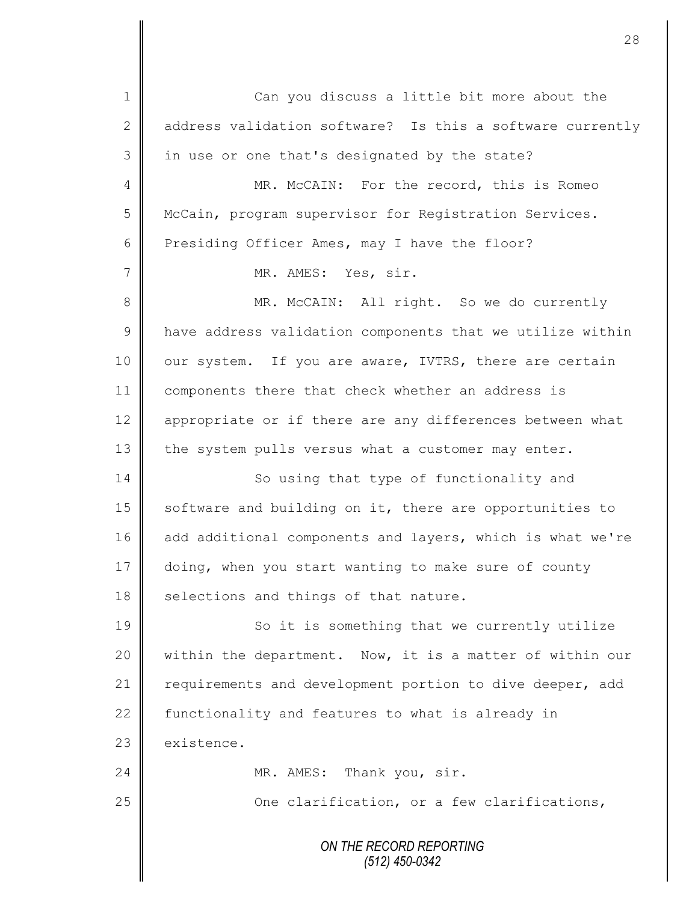*ON THE RECORD REPORTING (512) 450-0342* 1 Can you discuss a little bit more about the 2 d address validation software? Is this a software currently 3 in use or one that's designated by the state? 4 MR. McCAIN: For the record, this is Romeo 5 | McCain, program supervisor for Registration Services. 6 Presiding Officer Ames, may I have the floor? 7 || MR. AMES: Yes, sir. 8 || MR. McCAIN: All right. So we do currently  $9 \parallel$  have address validation components that we utilize within 10 | our system. If you are aware, IVTRS, there are certain 11 | components there that check whether an address is 12 | appropriate or if there are any differences between what 13 the system pulls versus what a customer may enter. 14 So using that type of functionality and 15 | software and building on it, there are opportunities to 16 add additional components and layers, which is what we're 17 doing, when you start wanting to make sure of county  $18$  selections and things of that nature. 19 || So it is something that we currently utilize 20 | within the department. Now, it is a matter of within our 21 | requirements and development portion to dive deeper, add 22 functionality and features to what is already in  $23$   $\blacksquare$  existence. 24 MR. AMES: Thank you, sir. 25 | Che clarification, or a few clarifications,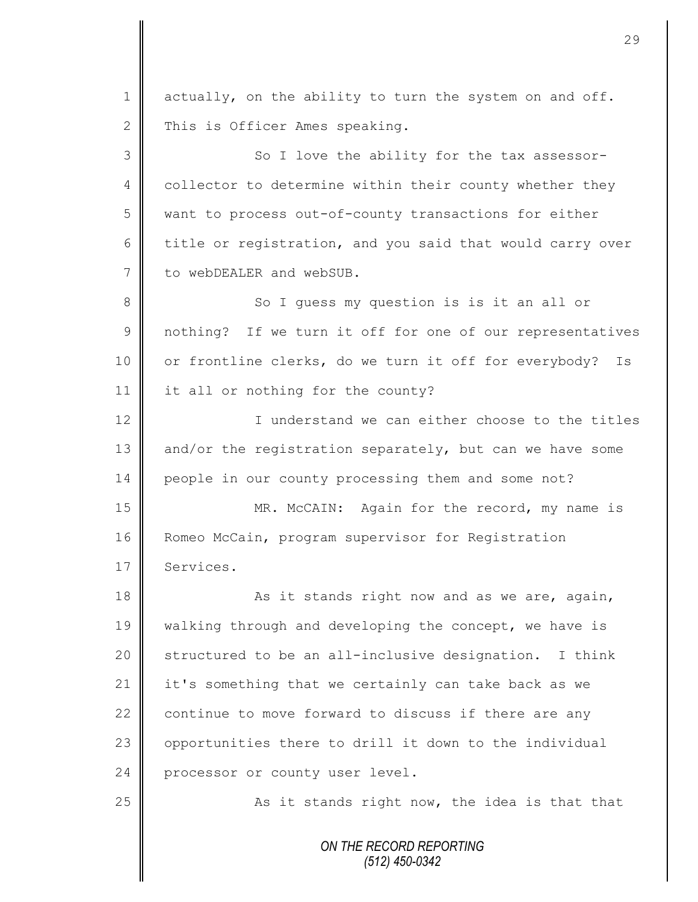*ON THE RECORD REPORTING (512) 450-0342* 1 actually, on the ability to turn the system on and off. 2 This is Officer Ames speaking. 3 || So I love the ability for the tax assessor-4 collector to determine within their county whether they 5 want to process out-of-county transactions for either 6 title or registration, and you said that would carry over 7 to webDEALER and webSUB. 8 So I quess my question is is it an all or 9 || nothing? If we turn it off for one of our representatives 10 | or frontline clerks, do we turn it off for everybody? Is 11 it all or nothing for the county? 12 I understand we can either choose to the titles 13 and/or the registration separately, but can we have some 14 people in our county processing them and some not? 15 || MR. McCAIN: Again for the record, my name is 16 Romeo McCain, program supervisor for Registration 17 Services. 18 || As it stands right now and as we are, again, 19 | walking through and developing the concept, we have is 20  $\parallel$  structured to be an all-inclusive designation. I think 21 it's something that we certainly can take back as we 22  $\parallel$  continue to move forward to discuss if there are any 23 | opportunities there to drill it down to the individual 24 processor or county user level. 25  $\parallel$  As it stands right now, the idea is that that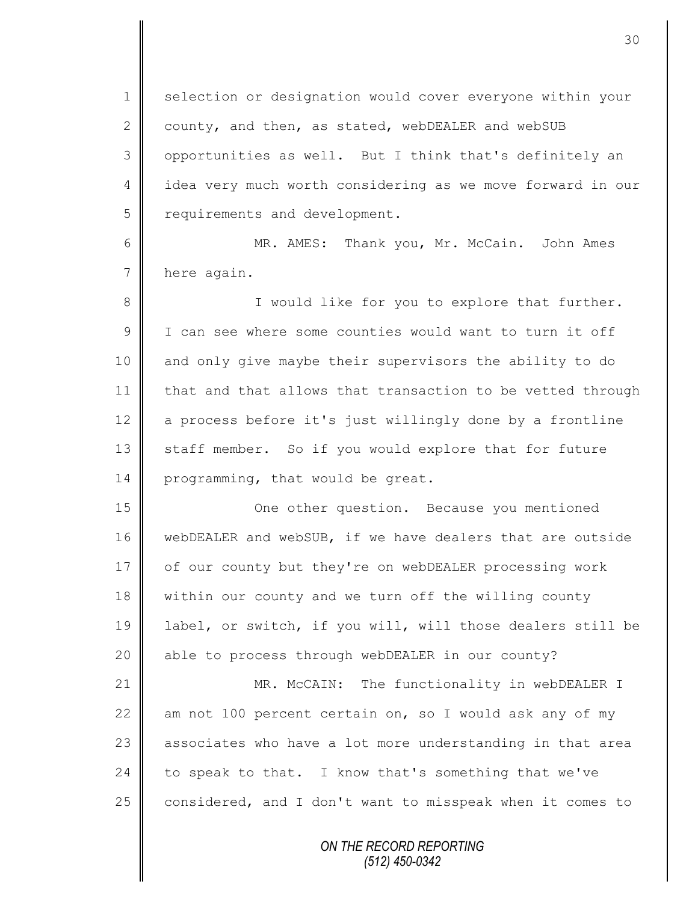1 selection or designation would cover everyone within your 2 county, and then, as stated, webDEALER and webSUB 3 | opportunities as well. But I think that's definitely an 4 || idea very much worth considering as we move forward in our 5 | requirements and development.

6 MR. AMES: Thank you, Mr. McCain. John Ames 7 here again.

8 || I would like for you to explore that further. 9 I can see where some counties would want to turn it off 10 and only give maybe their supervisors the ability to do 11 that and that allows that transaction to be vetted through 12  $\parallel$  a process before it's just willingly done by a frontline 13 staff member. So if you would explore that for future 14 programming, that would be great.

15 || One other question. Because you mentioned 16 webDEALER and webSUB, if we have dealers that are outside 17 of our county but they're on webDEALER processing work 18 within our county and we turn off the willing county 19 label, or switch, if you will, will those dealers still be 20 || able to process through webDEALER in our county?

21 | MR. McCAIN: The functionality in webDEALER I 22  $\parallel$  am not 100 percent certain on, so I would ask any of my 23 associates who have a lot more understanding in that area 24 to speak to that. I know that's something that we've 25  $\parallel$  considered, and I don't want to misspeak when it comes to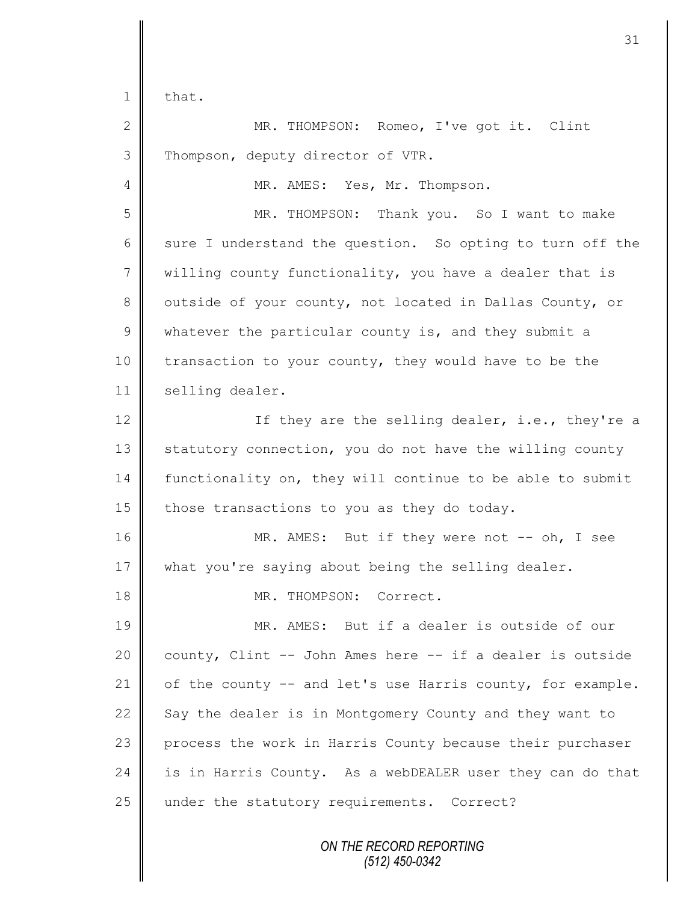$1 \parallel$  that.

2 || MR. THOMPSON: Romeo, I've got it. Clint 3 Thompson, deputy director of VTR.

4 | MR. AMES: Yes, Mr. Thompson.

5 MR. THOMPSON: Thank you. So I want to make 6 sure I understand the question. So opting to turn off the  $7 \parallel$  willing county functionality, you have a dealer that is 8 | outside of your county, not located in Dallas County, or 9 whatever the particular county is, and they submit a 10 transaction to your county, they would have to be the 11 | selling dealer.

12 | If they are the selling dealer, i.e., they're a  $13$  statutory connection, you do not have the willing county 14 functionality on, they will continue to be able to submit 15  $\parallel$  those transactions to you as they do today.

16 MR. AMES: But if they were not -- oh, I see 17 what you're saying about being the selling dealer.

18 || MR. THOMPSON: Correct.

19 MR. AMES: But if a dealer is outside of our 20 county, Clint -- John Ames here -- if a dealer is outside 21  $\parallel$  of the county -- and let's use Harris county, for example. 22 Say the dealer is in Montgomery County and they want to 23 process the work in Harris County because their purchaser 24 is in Harris County. As a webDEALER user they can do that 25 under the statutory requirements. Correct?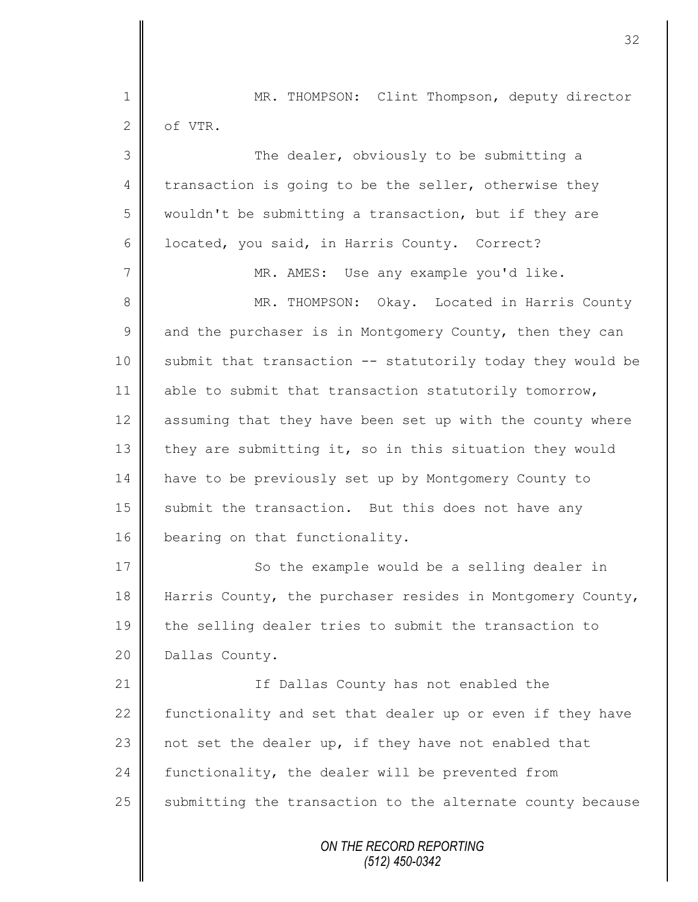|               | 32                                                         |
|---------------|------------------------------------------------------------|
| 1             | MR. THOMPSON: Clint Thompson, deputy director              |
| 2             | of VTR.                                                    |
| 3             | The dealer, obviously to be submitting a                   |
| 4             | transaction is going to be the seller, otherwise they      |
| 5             | wouldn't be submitting a transaction, but if they are      |
| 6             | located, you said, in Harris County. Correct?              |
| 7             | MR. AMES: Use any example you'd like.                      |
| 8             | MR. THOMPSON: Okay. Located in Harris County               |
| $\mathcal{G}$ | and the purchaser is in Montgomery County, then they can   |
| 10            | submit that transaction -- statutorily today they would be |
| 11            | able to submit that transaction statutorily tomorrow,      |
| 12            | assuming that they have been set up with the county where  |
| 13            | they are submitting it, so in this situation they would    |
| 14            | have to be previously set up by Montgomery County to       |
| 15            | submit the transaction. But this does not have any         |
| 16            | bearing on that functionality.                             |
| 17            | So the example would be a selling dealer in                |
| 18            | Harris County, the purchaser resides in Montgomery County, |
| 19            | the selling dealer tries to submit the transaction to      |
| 20            | Dallas County.                                             |
| 21            | If Dallas County has not enabled the                       |
| 22            | functionality and set that dealer up or even if they have  |
| 23            | not set the dealer up, if they have not enabled that       |
| 24            | functionality, the dealer will be prevented from           |
| 25            | submitting the transaction to the alternate county because |
|               | ON THE RECORD REPORTING<br>(512) 450-0342                  |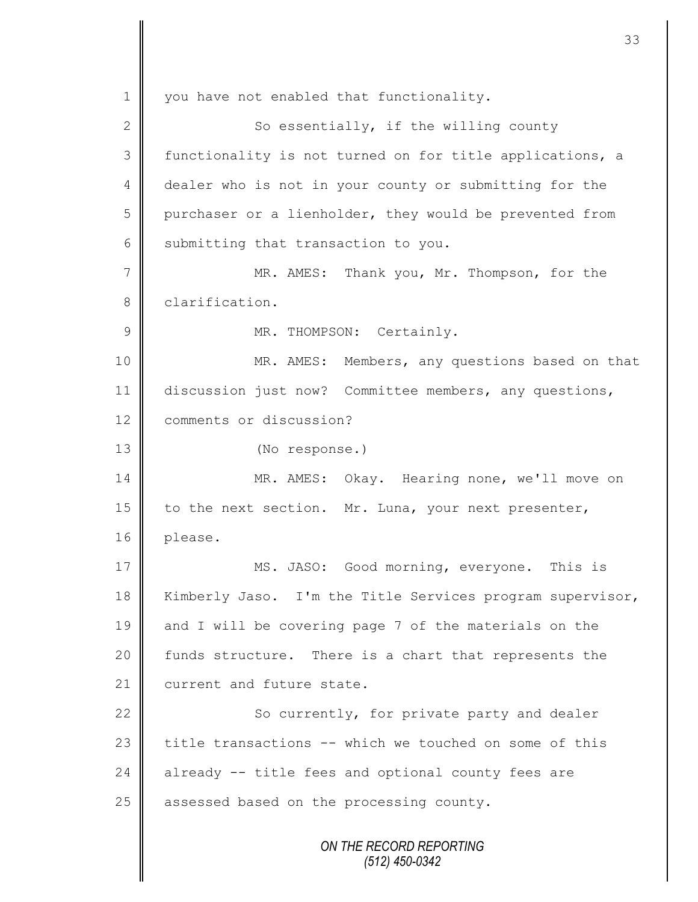*ON THE RECORD REPORTING (512) 450-0342* 1 you have not enabled that functionality. 2  $\parallel$  So essentially, if the willing county 3 functionality is not turned on for title applications, a 4 dealer who is not in your county or submitting for the 5 purchaser or a lienholder, they would be prevented from 6 Submitting that transaction to you. 7 || MR. AMES: Thank you, Mr. Thompson, for the 8 clarification. 9 | MR. THOMPSON: Certainly. 10 MR. AMES: Members, any questions based on that 11 discussion just now? Committee members, any questions, 12 **Comments or discussion?** 13 (No response.) 14 | MR. AMES: Okay. Hearing none, we'll move on 15  $\parallel$  to the next section. Mr. Luna, your next presenter, 16 | please. 17 MS. JASO: Good morning, everyone. This is 18 Kimberly Jaso. I'm the Title Services program supervisor, 19 and I will be covering page 7 of the materials on the 20 | funds structure. There is a chart that represents the 21  $\parallel$  current and future state. 22 | So currently, for private party and dealer 23  $\parallel$  title transactions -- which we touched on some of this  $24$  already -- title fees and optional county fees are  $25$  | assessed based on the processing county.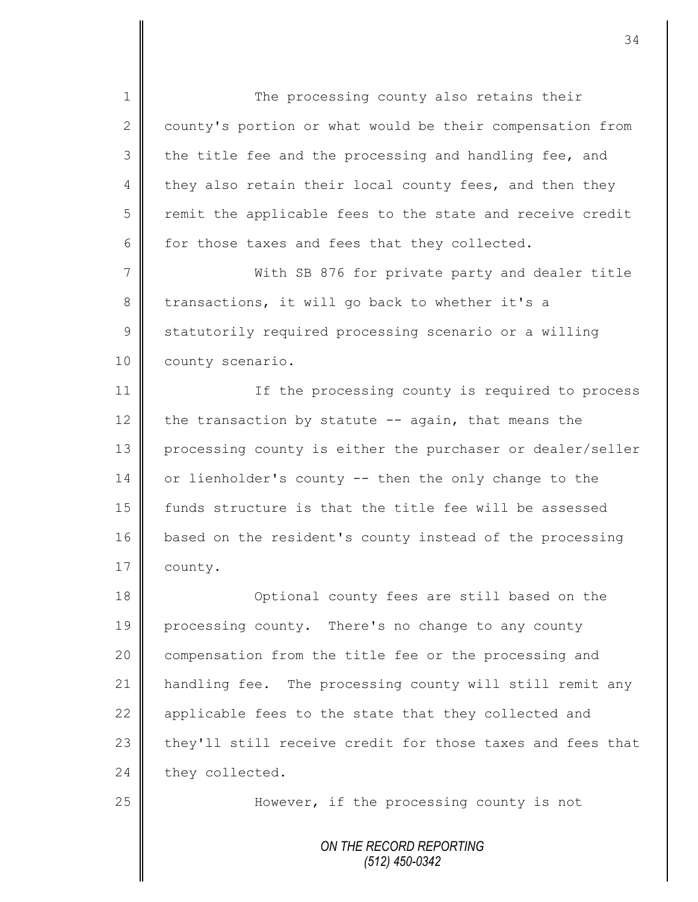*ON THE RECORD REPORTING (512) 450-0342* 1 The processing county also retains their  $2 \parallel$  county's portion or what would be their compensation from  $3 \parallel$  the title fee and the processing and handling fee, and 4 they also retain their local county fees, and then they  $5 \parallel$  remit the applicable fees to the state and receive credit 6 for those taxes and fees that they collected. 7 || With SB 876 for private party and dealer title  $8 \parallel$  transactions, it will go back to whether it's a 9 Statutorily required processing scenario or a willing 10 county scenario. 11 | If the processing county is required to process 12 the transaction by statute  $-$  again, that means the 13 processing county is either the purchaser or dealer/seller 14 or lienholder's county -- then the only change to the 15 funds structure is that the title fee will be assessed 16 based on the resident's county instead of the processing 17 | county. 18 **Optional county fees are still based on the** 19 processing county. There's no change to any county 20 | compensation from the title fee or the processing and 21 handling fee. The processing county will still remit any 22  $\parallel$  applicable fees to the state that they collected and 23 they'll still receive credit for those taxes and fees that 24 they collected. 25 **However,** if the processing county is not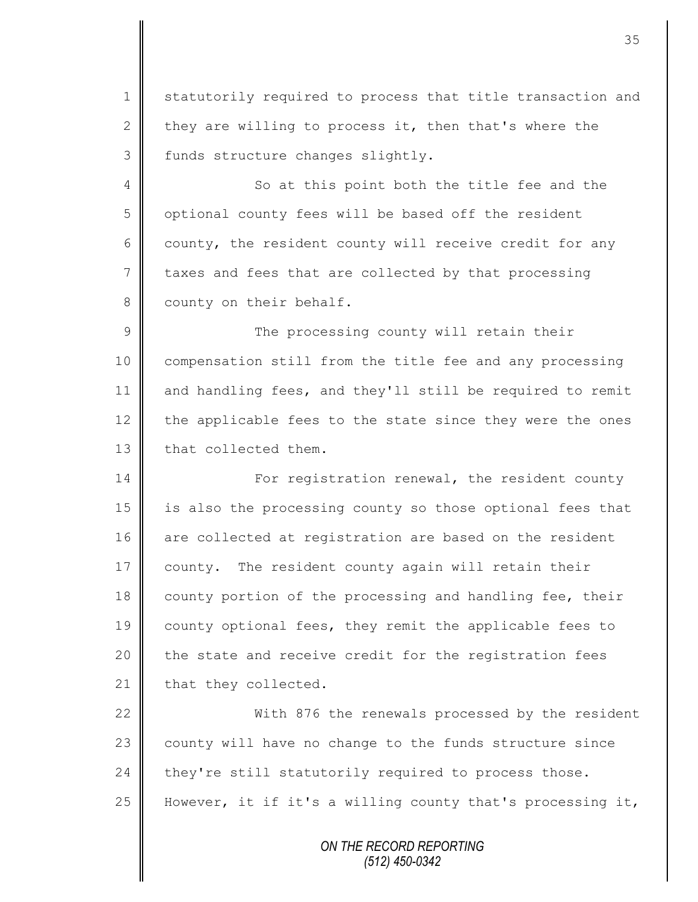1 statutorily required to process that title transaction and 2 they are willing to process it, then that's where the 3 | funds structure changes slightly.

4 || So at this point both the title fee and the 5 | optional county fees will be based off the resident 6 county, the resident county will receive credit for any 7 taxes and fees that are collected by that processing 8 county on their behalf.

9 || The processing county will retain their 10 compensation still from the title fee and any processing 11 and handling fees, and they'll still be required to remit 12 the applicable fees to the state since they were the ones 13 **that** collected them.

14 For registration renewal, the resident county 15 is also the processing county so those optional fees that 16 are collected at registration are based on the resident 17 county. The resident county again will retain their 18 county portion of the processing and handling fee, their 19 county optional fees, they remit the applicable fees to 20 the state and receive credit for the registration fees  $21$  that they collected.

22 With 876 the renewals processed by the resident 23 county will have no change to the funds structure since 24 they're still statutorily required to process those. 25 However, it if it's a willing county that's processing it,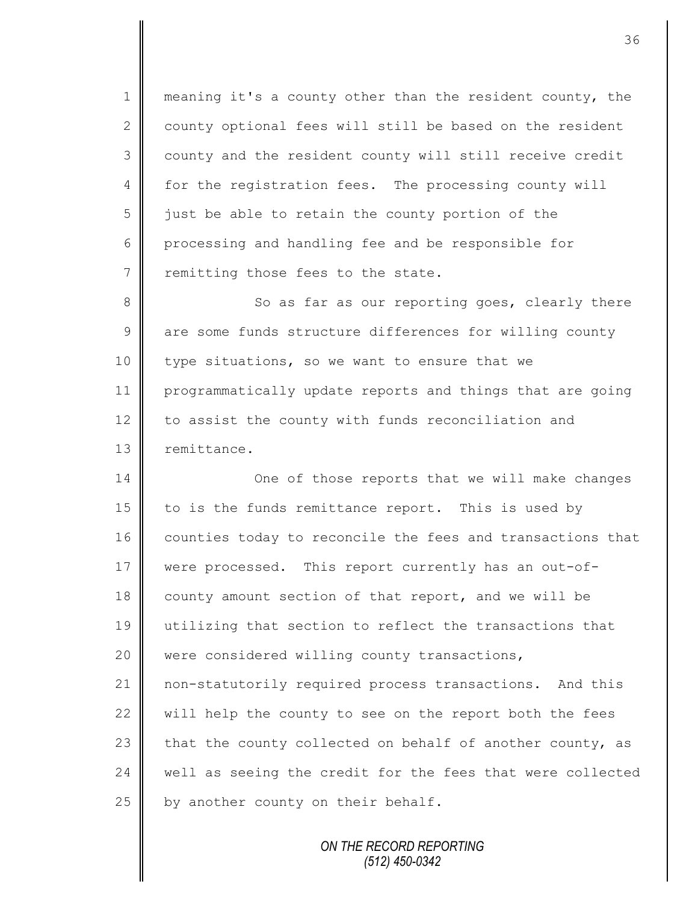1 | meaning it's a county other than the resident county, the  $2 \parallel$  county optional fees will still be based on the resident 3 county and the resident county will still receive credit 4 for the registration fees. The processing county will  $5 \parallel$  just be able to retain the county portion of the 6 processing and handling fee and be responsible for 7 T remitting those fees to the state.

8 So as far as our reporting goes, clearly there 9 are some funds structure differences for willing county 10 | type situations, so we want to ensure that we 11 | programmatically update reports and things that are going 12 to assist the county with funds reconciliation and 13 | remittance.

14 One of those reports that we will make changes 15 to is the funds remittance report. This is used by 16 counties today to reconcile the fees and transactions that 17 were processed. This report currently has an out-of-18 county amount section of that report, and we will be 19 utilizing that section to reflect the transactions that 20 were considered willing county transactions, 21 non-statutorily required process transactions. And this 22  $\parallel$  will help the county to see on the report both the fees 23 that the county collected on behalf of another county, as 24 well as seeing the credit for the fees that were collected 25  $\parallel$  by another county on their behalf.

> *ON THE RECORD REPORTING (512) 450-0342*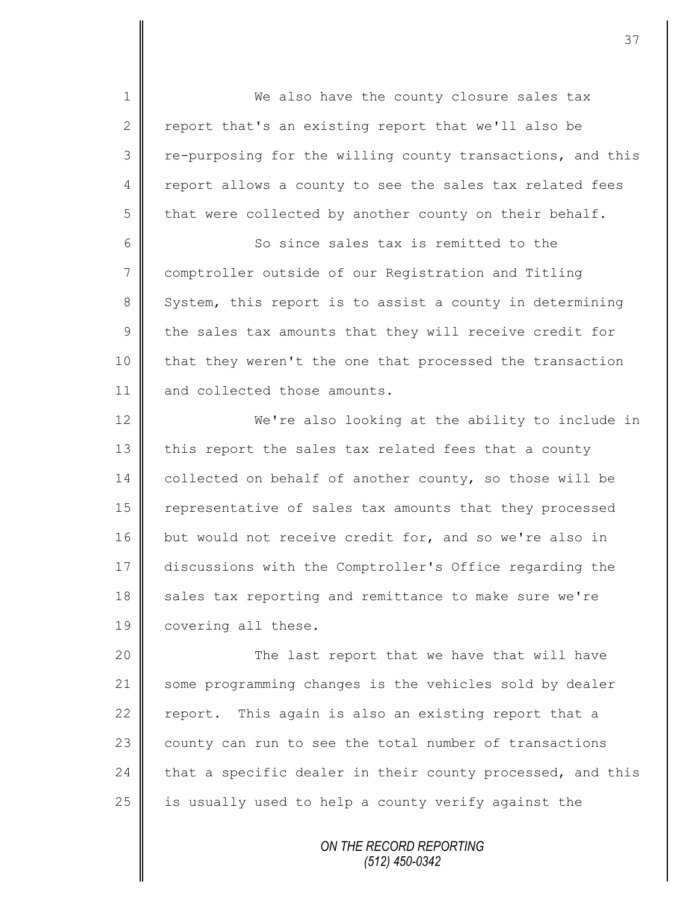1 || We also have the county closure sales tax 2  $\parallel$  report that's an existing report that we'll also be 3 | re-purposing for the willing county transactions, and this 4 | report allows a county to see the sales tax related fees 5 that were collected by another county on their behalf. 6 So since sales tax is remitted to the 7 comptroller outside of our Registration and Titling 8 System, this report is to assist a county in determining  $9 \parallel$  the sales tax amounts that they will receive credit for 10 | that they weren't the one that processed the transaction 11 and collected those amounts. 12 We're also looking at the ability to include in 13 this report the sales tax related fees that a county 14 collected on behalf of another county, so those will be 15 | representative of sales tax amounts that they processed 16 but would not receive credit for, and so we're also in 17 discussions with the Comptroller's Office regarding the 18 sales tax reporting and remittance to make sure we're

20 | The last report that we have that will have 21 some programming changes is the vehicles sold by dealer 22  $\parallel$  report. This again is also an existing report that a 23 county can run to see the total number of transactions 24 that a specific dealer in their county processed, and this 25  $\parallel$  is usually used to help a county verify against the

19 | covering all these.

*ON THE RECORD REPORTING (512) 450-0342*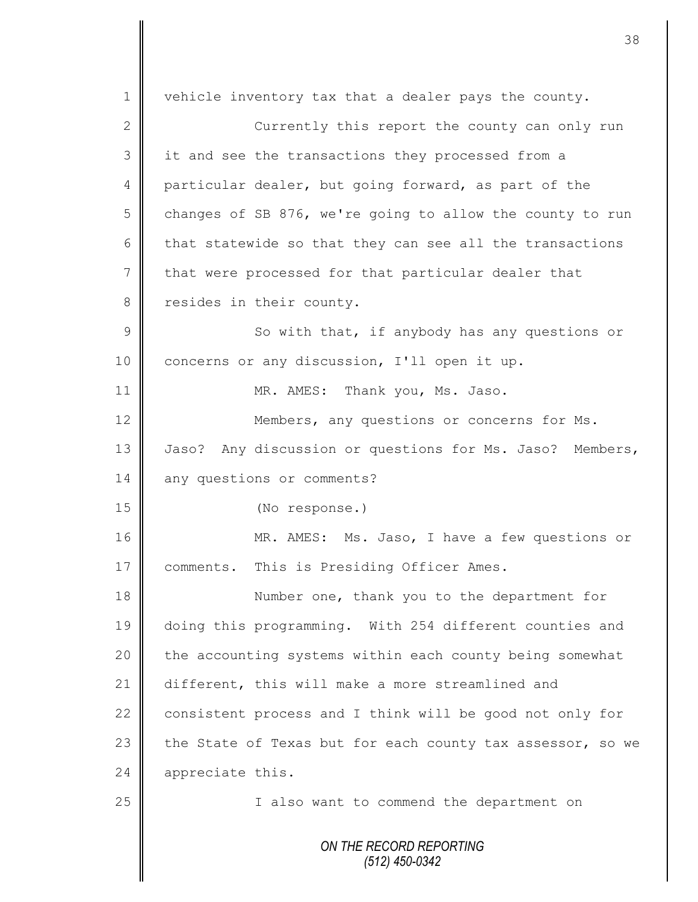*ON THE RECORD REPORTING (512) 450-0342* 1 | vehicle inventory tax that a dealer pays the county. 2 || Currently this report the county can only run 3 || it and see the transactions they processed from a 4 particular dealer, but going forward, as part of the 5 changes of SB 876, we're going to allow the county to run 6 that statewide so that they can see all the transactions  $7 \parallel$  that were processed for that particular dealer that 8 resides in their county.  $9 \parallel$  So with that, if anybody has any questions or 10 concerns or any discussion, I'll open it up. 11 || MR. AMES: Thank you, Ms. Jaso. 12 **Members, any questions or concerns for Ms.** 13 Jaso? Any discussion or questions for Ms. Jaso? Members, 14 any questions or comments? 15 (No response.) 16 MR. AMES: Ms. Jaso, I have a few questions or 17 | comments. This is Presiding Officer Ames. 18 Number one, thank you to the department for 19 doing this programming. With 254 different counties and 20 | the accounting systems within each county being somewhat 21 different, this will make a more streamlined and 22  $\parallel$  consistent process and I think will be good not only for 23 the State of Texas but for each county tax assessor, so we 24 appreciate this. 25 | Talso want to commend the department on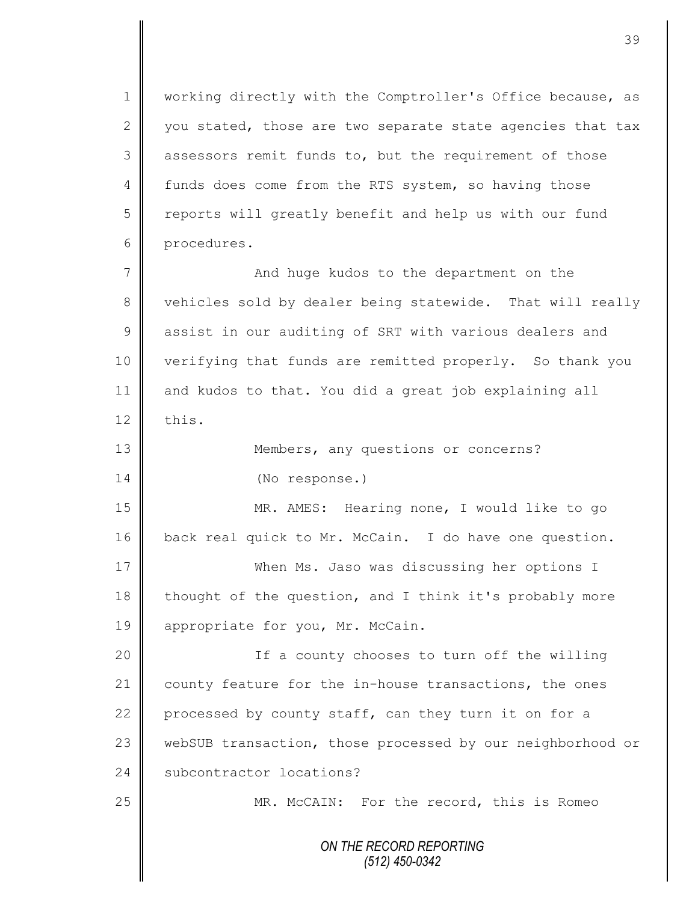1 | working directly with the Comptroller's Office because, as 2 you stated, those are two separate state agencies that tax 3 assessors remit funds to, but the requirement of those 4 funds does come from the RTS system, so having those 5 reports will greatly benefit and help us with our fund 6 procedures.

7 || And huge kudos to the department on the 8 vehicles sold by dealer being statewide. That will really 9 assist in our auditing of SRT with various dealers and 10 verifying that funds are remitted properly. So thank you 11 and kudos to that. You did a great job explaining all 12  $\parallel$  this.

13 || Members, any questions or concerns? 14 (No response.)

15 MR. AMES: Hearing none, I would like to go 16 back real quick to Mr. McCain. I do have one question.

17 When Ms. Jaso was discussing her options I 18 thought of the question, and I think it's probably more 19 appropriate for you, Mr. McCain.

20 || If a county chooses to turn off the willing 21 county feature for the in-house transactions, the ones 22 processed by county staff, can they turn it on for a 23 webSUB transaction, those processed by our neighborhood or 24 Subcontractor locations?

25 || MR. McCAIN: For the record, this is Romeo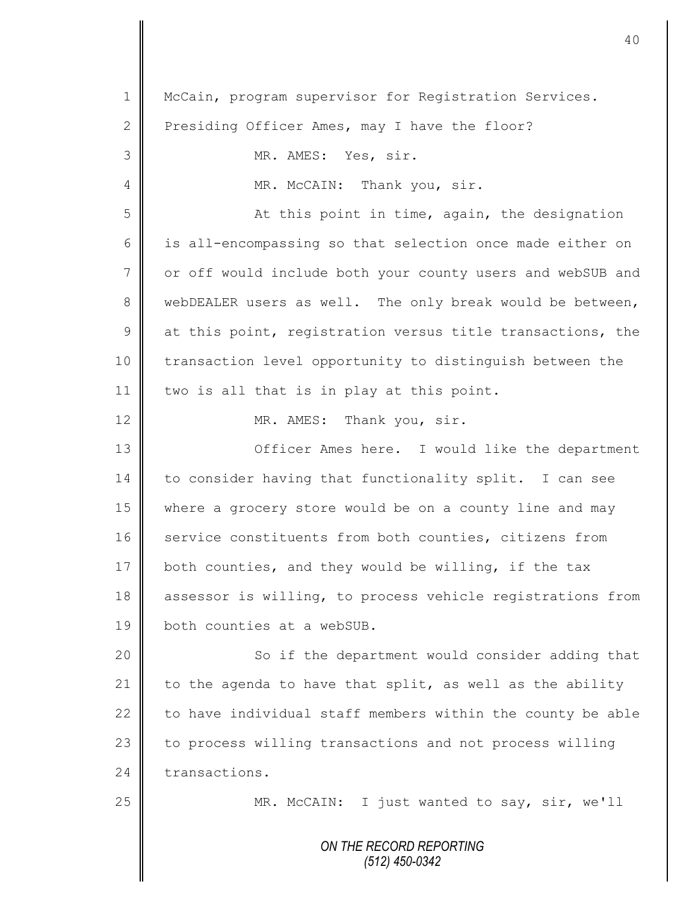*ON THE RECORD REPORTING (512) 450-0342* 1 | McCain, program supervisor for Registration Services. 2 Presiding Officer Ames, may I have the floor? 3 || MR. AMES: Yes, sir. 4 | MR. McCAIN: Thank you, sir. 5 || At this point in time, again, the designation 6 || is all-encompassing so that selection once made either on 7 | or off would include both your county users and webSUB and 8 webDEALER users as well. The only break would be between,  $9 \parallel$  at this point, registration versus title transactions, the 10 | transaction level opportunity to distinguish between the 11 | two is all that is in play at this point. 12 MR. AMES: Thank you, sir. 13 **O**fficer Ames here. I would like the department 14 to consider having that functionality split. I can see 15 where a grocery store would be on a county line and may 16 service constituents from both counties, citizens from 17 both counties, and they would be willing, if the tax 18 assessor is willing, to process vehicle registrations from 19 **both** counties at a webSUB. 20 || So if the department would consider adding that 21  $\parallel$  to the agenda to have that split, as well as the ability 22  $\parallel$  to have individual staff members within the county be able 23 to process willing transactions and not process willing 24 transactions. 25 || MR. McCAIN: I just wanted to say, sir, we'll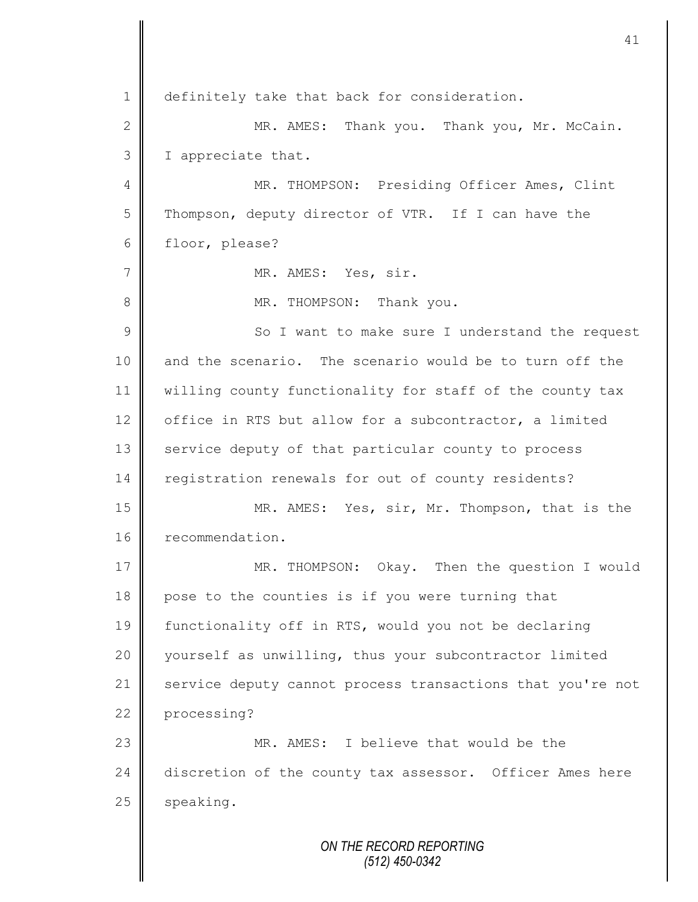1 || definitely take that back for consideration. 2 || MR. AMES: Thank you. Thank you, Mr. McCain. 3 I appreciate that. 4 || MR. THOMPSON: Presiding Officer Ames, Clint 5 | Thompson, deputy director of VTR. If I can have the 6 floor, please? 7 || MR. AMES: Yes, sir. 8 MR. THOMPSON: Thank you. 9 || So I want to make sure I understand the request 10 and the scenario. The scenario would be to turn off the 11 willing county functionality for staff of the county tax 12 office in RTS but allow for a subcontractor, a limited 13 service deputy of that particular county to process 14 registration renewals for out of county residents? 15 MR. AMES: Yes, sir, Mr. Thompson, that is the 16 recommendation. 17 MR. THOMPSON: Okay. Then the question I would 18 pose to the counties is if you were turning that 19 | functionality off in RTS, would you not be declaring 20 yourself as unwilling, thus your subcontractor limited 21 service deputy cannot process transactions that you're not 22 processing? 23 **MR.** AMES: I believe that would be the 24 discretion of the county tax assessor. Officer Ames here 25 speaking.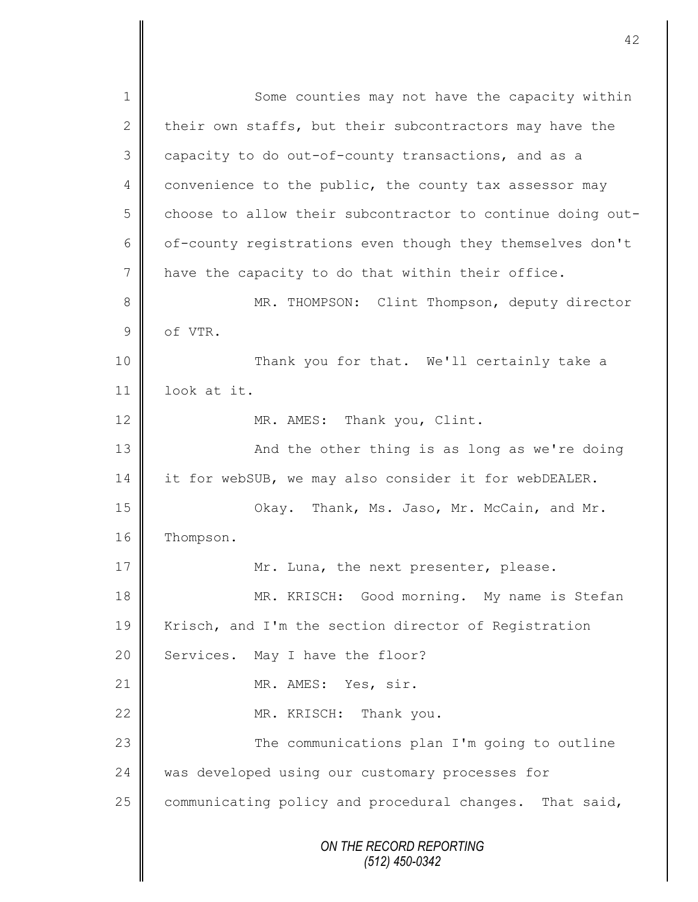*ON THE RECORD REPORTING (512) 450-0342* 1 Some counties may not have the capacity within 2 their own staffs, but their subcontractors may have the 3 capacity to do out-of-county transactions, and as a 4 convenience to the public, the county tax assessor may 5 choose to allow their subcontractor to continue doing out-6 | of-county registrations even though they themselves don't 7 have the capacity to do that within their office. 8 || MR. THOMPSON: Clint Thompson, deputy director 9 of VTR. 10 || Thank you for that. We'll certainly take a 11 look at it. 12 MR. AMES: Thank you, Clint. 13 || And the other thing is as long as we're doing 14 it for webSUB, we may also consider it for webDEALER. 15 | Ckay. Thank, Ms. Jaso, Mr. McCain, and Mr. 16 | Thompson. 17 Mr. Luna, the next presenter, please. 18 || MR. KRISCH: Good morning. My name is Stefan 19 Krisch, and I'm the section director of Registration 20 Services. May I have the floor? 21 | MR. AMES: Yes, sir. 22 MR. KRISCH: Thank you. 23 | The communications plan I'm going to outline 24 was developed using our customary processes for  $25$  communicating policy and procedural changes. That said,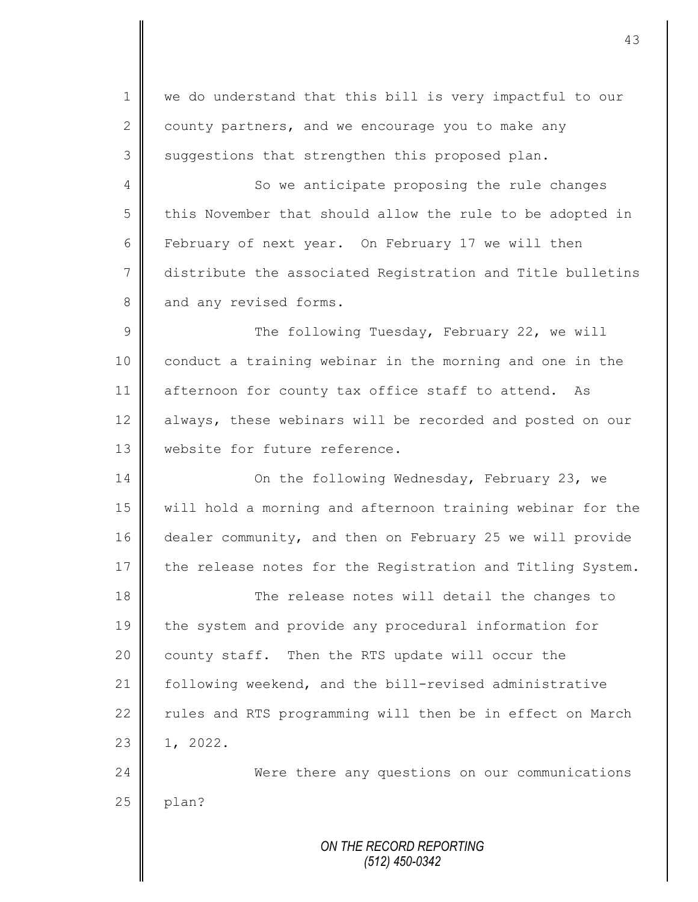*ON THE RECORD REPORTING* 1 we do understand that this bill is very impactful to our 2 county partners, and we encourage you to make any  $3 \parallel$  suggestions that strengthen this proposed plan. 4 So we anticipate proposing the rule changes 5 this November that should allow the rule to be adopted in 6 February of next year. On February 17 we will then 7 distribute the associated Registration and Title bulletins 8 and any revised forms. 9 || The following Tuesday, February 22, we will 10 | conduct a training webinar in the morning and one in the 11 afternoon for county tax office staff to attend. As 12 always, these webinars will be recorded and posted on our 13 Website for future reference. 14 On the following Wednesday, February 23, we 15 will hold a morning and afternoon training webinar for the 16 dealer community, and then on February 25 we will provide 17 the release notes for the Registration and Titling System. 18 The release notes will detail the changes to 19 the system and provide any procedural information for 20 county staff. Then the RTS update will occur the 21 following weekend, and the bill-revised administrative 22  $\parallel$  rules and RTS programming will then be in effect on March  $23 \parallel 1, 2022.$ 24 Were there any questions on our communications  $25$  | plan?

*(512) 450-0342*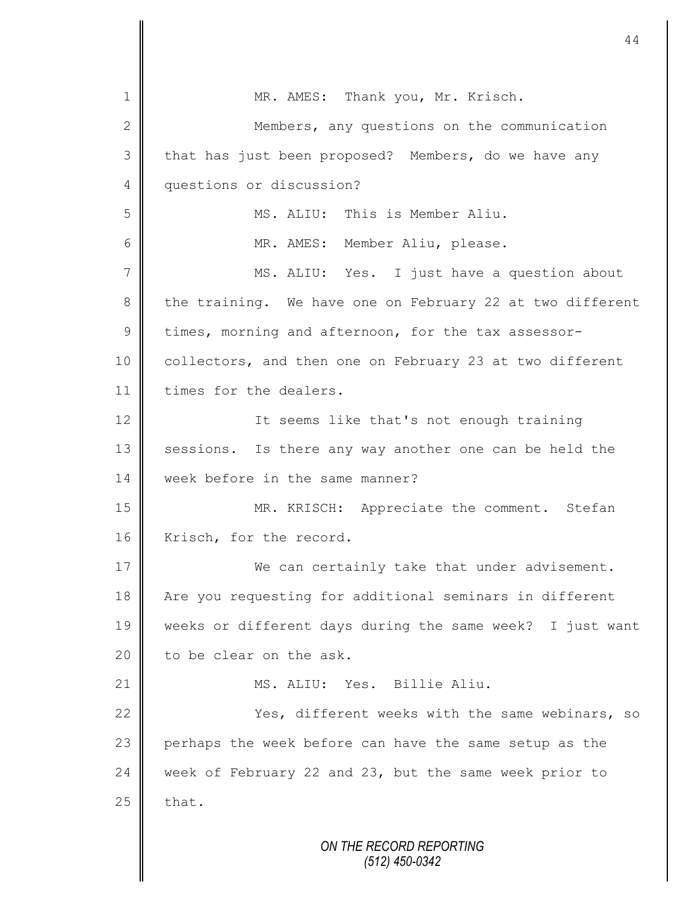| 1               | MR. AMES: Thank you, Mr. Krisch.                          |
|-----------------|-----------------------------------------------------------|
| $\mathbf{2}$    | Members, any questions on the communication               |
| 3               | that has just been proposed? Members, do we have any      |
| $\overline{4}$  | questions or discussion?                                  |
| 5               | MS. ALIU: This is Member Aliu.                            |
| 6               | MR. AMES: Member Aliu, please.                            |
| $7\phantom{.0}$ | MS. ALIU: Yes. I just have a question about               |
| $8\,$           | the training. We have one on February 22 at two different |
| $\overline{9}$  | times, morning and afternoon, for the tax assessor-       |
| 10              | collectors, and then one on February 23 at two different  |
| 11              | times for the dealers.                                    |
| 12              | It seems like that's not enough training                  |
| 13              | sessions. Is there any way another one can be held the    |
| 14              | week before in the same manner?                           |
| 15              | MR. KRISCH: Appreciate the comment. Stefan                |
| 16              | Krisch, for the record.                                   |
| 17              | We can certainly take that under advisement.              |
| 18              | Are you requesting for additional seminars in different   |
| 19              | weeks or different days during the same week? I just want |
| 20              | to be clear on the ask.                                   |
| 21              | MS. ALIU: Yes. Billie Aliu.                               |
| 22              | Yes, different weeks with the same webinars, so           |
| 23              | perhaps the week before can have the same setup as the    |
| 24              | week of February 22 and 23, but the same week prior to    |
| 25              | that.                                                     |
|                 | ON THE RECORD REPORTING<br>$(512)$ 450-0342               |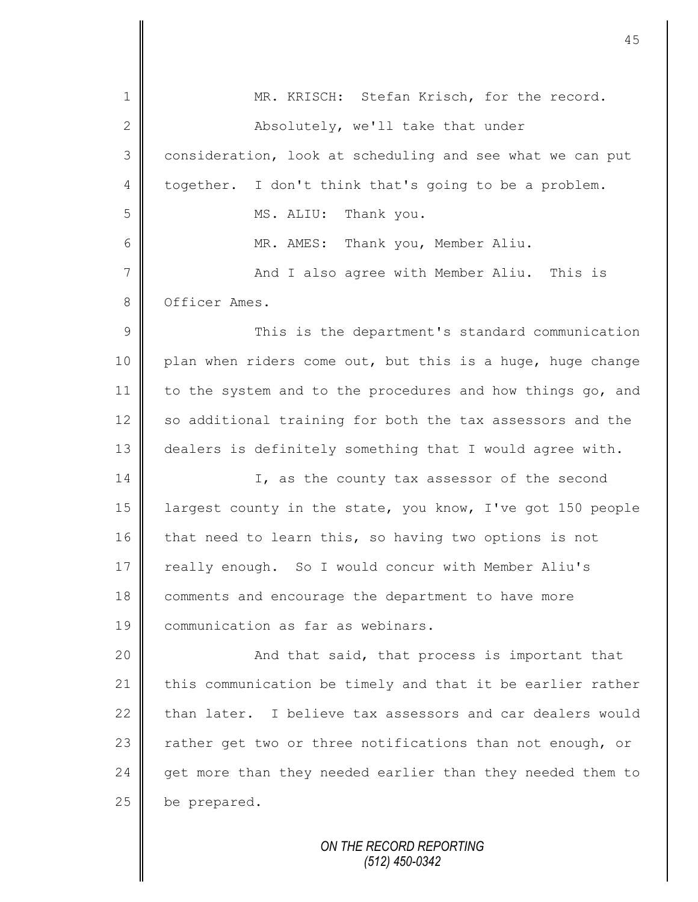| 1              | MR. KRISCH: Stefan Krisch, for the record.                 |
|----------------|------------------------------------------------------------|
| $\mathbf{2}$   | Absolutely, we'll take that under                          |
| 3              | consideration, look at scheduling and see what we can put  |
| 4              | together. I don't think that's going to be a problem.      |
| 5              | Thank you.<br>MS. ALIU:                                    |
| 6              | MR. AMES: Thank you, Member Aliu.                          |
| $\overline{7}$ | And I also agree with Member Aliu. This is                 |
| 8              | Officer Ames.                                              |
| $\mathcal{G}$  | This is the department's standard communication            |
| 10             | plan when riders come out, but this is a huge, huge change |
| 11             | to the system and to the procedures and how things go, and |
| 12             | so additional training for both the tax assessors and the  |
| 13             | dealers is definitely something that I would agree with.   |
| 14             | I, as the county tax assessor of the second                |
| 15             | largest county in the state, you know, I've got 150 people |
| 16             | that need to learn this, so having two options is not      |
| 17             | really enough. So I would concur with Member Aliu's        |
| 18             | comments and encourage the department to have more         |
| 19             | communication as far as webinars.                          |
| 20             | And that said, that process is important that              |
| 21             | this communication be timely and that it be earlier rather |
| 22             | than later. I believe tax assessors and car dealers would  |
| 23             | rather get two or three notifications than not enough, or  |
| 24             | get more than they needed earlier than they needed them to |
| 25             | be prepared.                                               |
|                | ON THE RECORD REPORTING                                    |
|                |                                                            |

*(512) 450-0342*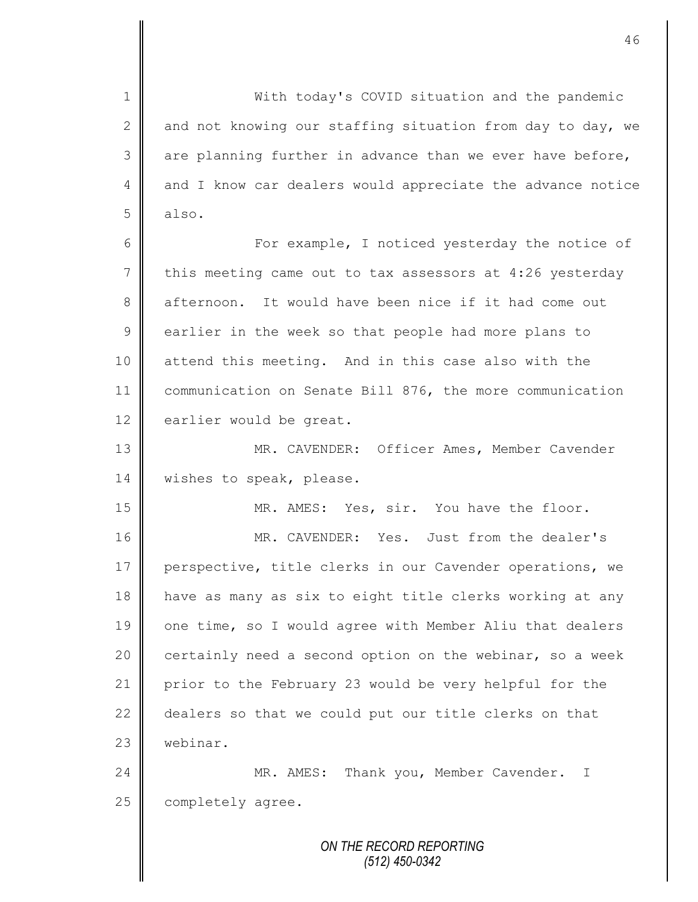*ON THE RECORD REPORTING* 1 || With today's COVID situation and the pandemic 2 and not knowing our staffing situation from day to day, we  $3 \parallel$  are planning further in advance than we ever have before, 4 and I know car dealers would appreciate the advance notice 5 also. 6 || For example, I noticed yesterday the notice of  $7 \parallel$  this meeting came out to tax assessors at 4:26 yesterday 8 afternoon. It would have been nice if it had come out 9 earlier in the week so that people had more plans to 10 attend this meeting. And in this case also with the 11 communication on Senate Bill 876, the more communication 12 earlier would be great. 13 || MR. CAVENDER: Officer Ames, Member Cavender 14 | wishes to speak, please. 15 || MR. AMES: Yes, sir. You have the floor. 16 MR. CAVENDER: Yes. Just from the dealer's 17 perspective, title clerks in our Cavender operations, we 18 have as many as six to eight title clerks working at any 19 || one time, so I would agree with Member Aliu that dealers 20  $\parallel$  certainly need a second option on the webinar, so a week 21 prior to the February 23 would be very helpful for the 22  $\parallel$  dealers so that we could put our title clerks on that 23 webinar. 24 | MR. AMES: Thank you, Member Cavender. I 25 | completely agree.

*(512) 450-0342*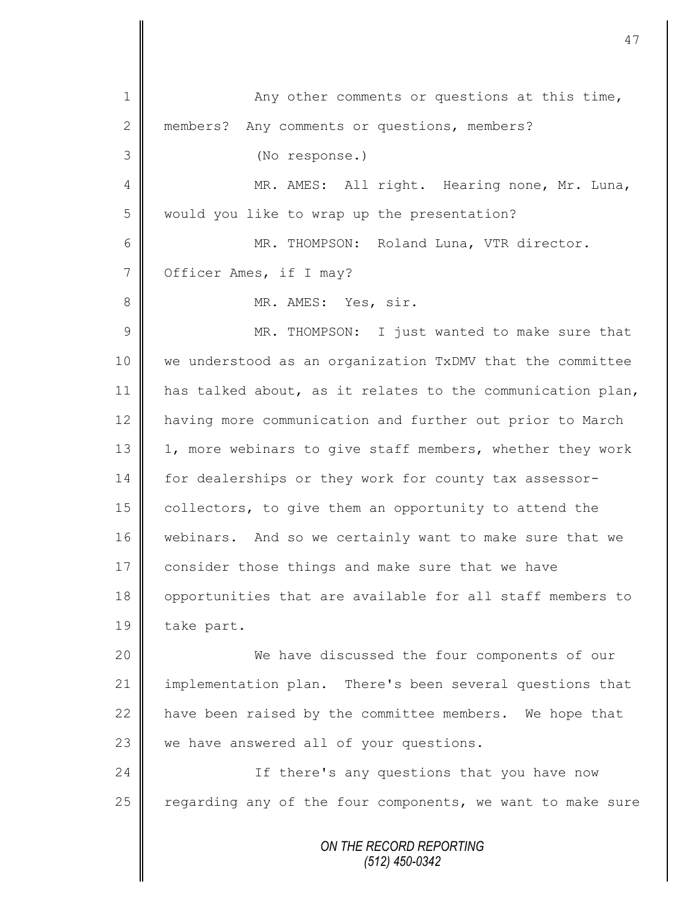*ON THE RECORD REPORTING (512) 450-0342* 1 Any other comments or questions at this time, 2 members? Any comments or questions, members? 3 (No response.) 4 || MR. AMES: All right. Hearing none, Mr. Luna, 5 would you like to wrap up the presentation? 6 MR. THOMPSON: Roland Luna, VTR director. 7 | Officer Ames, if I may? 8 **||** MR. AMES: Yes, sir. 9 || MR. THOMPSON: I just wanted to make sure that 10 we understood as an organization TxDMV that the committee 11 has talked about, as it relates to the communication plan, 12 | having more communication and further out prior to March 13 | 1, more webinars to give staff members, whether they work 14 for dealerships or they work for county tax assessor-15  $\parallel$  collectors, to give them an opportunity to attend the 16 | webinars. And so we certainly want to make sure that we 17 consider those things and make sure that we have 18 opportunities that are available for all staff members to 19 take part. 20 We have discussed the four components of our 21 implementation plan. There's been several questions that 22  $\parallel$  have been raised by the committee members. We hope that  $23$  we have answered all of your questions. 24 | Consumentant Control of the relations that you have now 25 | regarding any of the four components, we want to make sure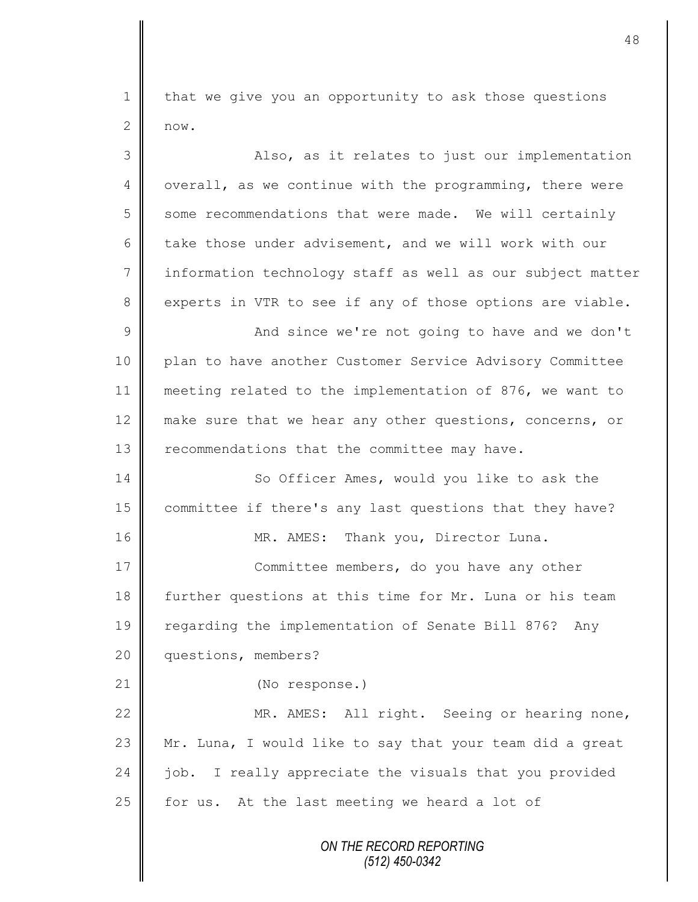1 | that we give you an opportunity to ask those questions  $2 \parallel \text{now.}$ 

| 3               | Also, as it relates to just our implementation             |
|-----------------|------------------------------------------------------------|
| 4               | overall, as we continue with the programming, there were   |
| 5               | some recommendations that were made. We will certainly     |
| 6               | take those under advisement, and we will work with our     |
| $7\phantom{.0}$ | information technology staff as well as our subject matter |
| $8\,$           | experts in VTR to see if any of those options are viable.  |
| $\mathcal{G}$   | And since we're not going to have and we don't             |
| 10              | plan to have another Customer Service Advisory Committee   |
| 11              | meeting related to the implementation of 876, we want to   |
| 12              | make sure that we hear any other questions, concerns, or   |
| 13              | recommendations that the committee may have.               |
| 14              | So Officer Ames, would you like to ask the                 |
| 15              | committee if there's any last questions that they have?    |
| 16              | MR. AMES: Thank you, Director Luna.                        |
| 17              | Committee members, do you have any other                   |
| 18              | further questions at this time for Mr. Luna or his team    |
| 19              | regarding the implementation of Senate Bill 876? Any       |
| 20              | questions, members?                                        |
| 21              | (No response.)                                             |
| 22              | MR. AMES: All right. Seeing or hearing none,               |
| 23              | Mr. Luna, I would like to say that your team did a great   |
| 24              | I really appreciate the visuals that you provided<br>job.  |
| 25              | At the last meeting we heard a lot of<br>for us.           |
|                 | ON THE RECORD REPORTING<br>(512) 450-0342                  |

 $\mathbb I$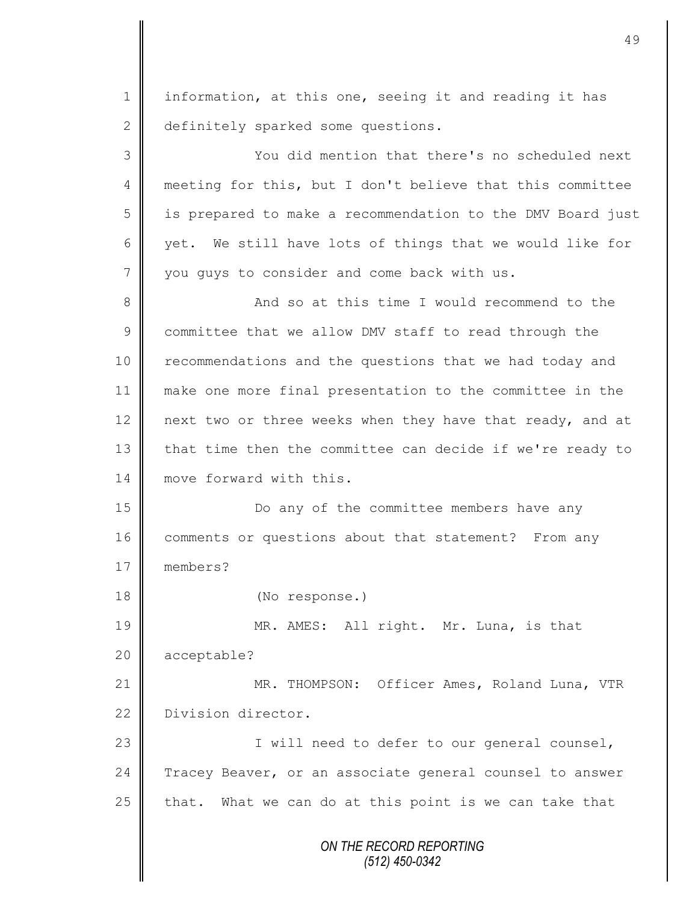1 | information, at this one, seeing it and reading it has 2 definitely sparked some questions.

3 You did mention that there's no scheduled next 4 meeting for this, but I don't believe that this committee 5 || is prepared to make a recommendation to the DMV Board just 6  $\parallel$  yet. We still have lots of things that we would like for 7 vou guys to consider and come back with us. 8 || And so at this time I would recommend to the 9 committee that we allow DMV staff to read through the 10 | recommendations and the questions that we had today and 11 make one more final presentation to the committee in the 12 next two or three weeks when they have that ready, and at 13 that time then the committee can decide if we're ready to

14 **move forward with this.** 15 | Do any of the committee members have any 16 comments or questions about that statement? From any

17 members?

18 (No response.)

19 MR. AMES: All right. Mr. Luna, is that 20 acceptable?

21 | MR. THOMPSON: Officer Ames, Roland Luna, VTR 22 Division director.

23 || I will need to defer to our general counsel, 24 | Tracey Beaver, or an associate general counsel to answer 25 that. What we can do at this point is we can take that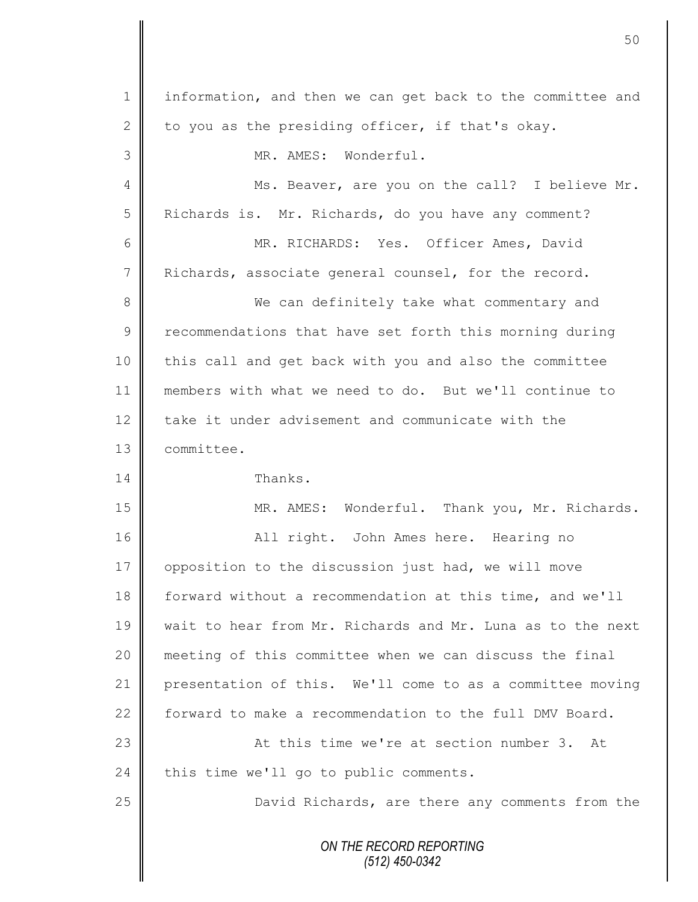*ON THE RECORD REPORTING (512) 450-0342* 1 | information, and then we can get back to the committee and 2 to you as the presiding officer, if that's okay. 3 || MR. AMES: Wonderful. 4 || Ms. Beaver, are you on the call? I believe Mr. 5 | Richards is. Mr. Richards, do you have any comment? 6 MR. RICHARDS: Yes. Officer Ames, David 7 Richards, associate general counsel, for the record. 8 We can definitely take what commentary and 9 Tecommendations that have set forth this morning during 10 this call and get back with you and also the committee 11 members with what we need to do. But we'll continue to 12 take it under advisement and communicate with the 13 committee. 14 Thanks. 15 MR. AMES: Wonderful. Thank you, Mr. Richards. 16 || All right. John Ames here. Hearing no 17 | opposition to the discussion just had, we will move 18 forward without a recommendation at this time, and we'll 19 wait to hear from Mr. Richards and Mr. Luna as to the next 20 meeting of this committee when we can discuss the final 21 presentation of this. We'll come to as a committee moving 22 forward to make a recommendation to the full DMV Board. 23 || At this time we're at section number 3. At 24 this time we'll go to public comments. 25 | David Richards, are there any comments from the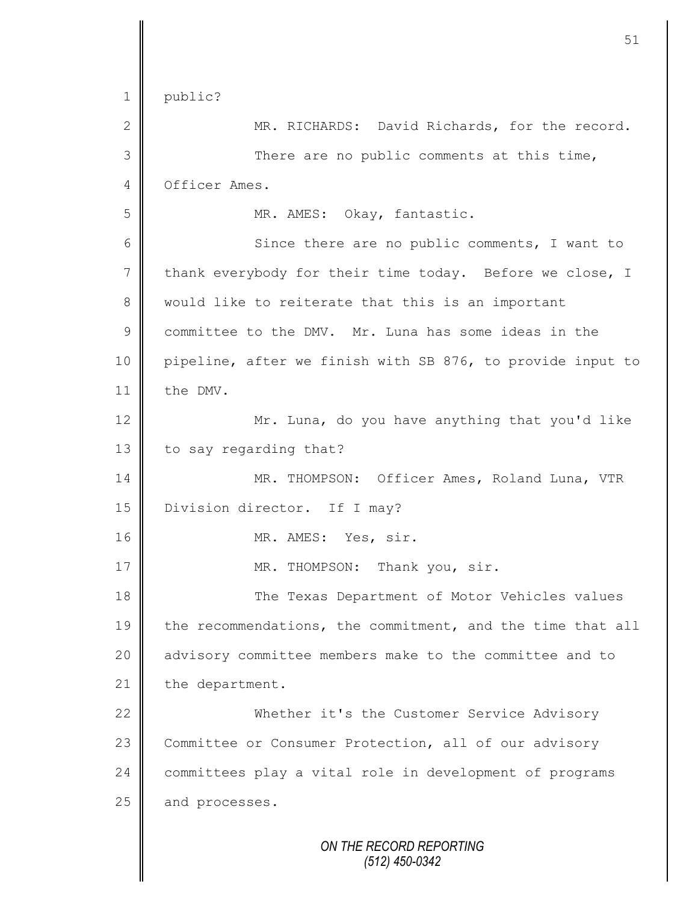|                | 51                                                         |
|----------------|------------------------------------------------------------|
| $\mathbf 1$    | public?                                                    |
| $\mathbf{2}$   | MR. RICHARDS: David Richards, for the record.              |
| 3              | There are no public comments at this time,                 |
| 4              | Officer Ames.                                              |
| 5              | MR. AMES: Okay, fantastic.                                 |
| 6              | Since there are no public comments, I want to              |
| $\overline{7}$ | thank everybody for their time today. Before we close, I   |
| 8              | would like to reiterate that this is an important          |
| $\mathcal{G}$  | committee to the DMV. Mr. Luna has some ideas in the       |
| 10             | pipeline, after we finish with SB 876, to provide input to |
| 11             | the DMV.                                                   |
| 12             | Mr. Luna, do you have anything that you'd like             |
| 13             | to say regarding that?                                     |
| 14             | MR. THOMPSON: Officer Ames, Roland Luna, VTR               |
| 15             | Division director. If I may?                               |
| 16             | MR. AMES: Yes, sir.                                        |
| 17             | MR. THOMPSON:<br>Thank you, sir.                           |
| 18             | The Texas Department of Motor Vehicles values              |
| 19             | the recommendations, the commitment, and the time that all |
| 20             | advisory committee members make to the committee and to    |
| 21             | the department.                                            |
| 22             | Whether it's the Customer Service Advisory                 |
| 23             | Committee or Consumer Protection, all of our advisory      |
| 24             | committees play a vital role in development of programs    |
| 25             | and processes.                                             |
|                | ON THE RECORD REPORTING<br>$(512)$ 450-0342                |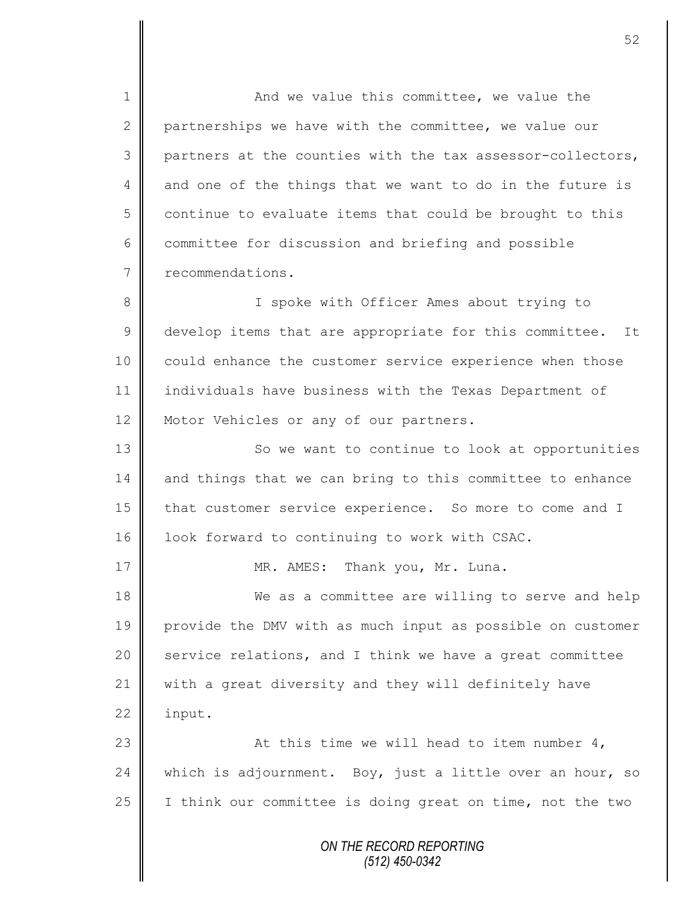1 And we value this committee, we value the 2 partnerships we have with the committee, we value our  $3$  | partners at the counties with the tax assessor-collectors,  $4 \parallel$  and one of the things that we want to do in the future is  $5 \parallel$  continue to evaluate items that could be brought to this  $6 \parallel$  committee for discussion and briefing and possible 7 **P** recommendations.

8 || I spoke with Officer Ames about trying to 9 develop items that are appropriate for this committee. It 10 | could enhance the customer service experience when those 11 individuals have business with the Texas Department of 12 | Motor Vehicles or any of our partners.

13 | So we want to continue to look at opportunities 14 and things that we can bring to this committee to enhance 15 that customer service experience. So more to come and I 16 | look forward to continuing to work with CSAC.

17 | MR. AMES: Thank you, Mr. Luna.

18 We as a committee are willing to serve and help 19 provide the DMV with as much input as possible on customer 20  $\parallel$  service relations, and I think we have a great committee 21 with a great diversity and they will definitely have  $22$  | input.

23  $\parallel$  23  $\parallel$  23  $\parallel$  25  $\parallel$  25  $\parallel$  25  $\parallel$  25  $\parallel$  26  $\parallel$  26  $\parallel$  26  $\parallel$  26  $\parallel$  26  $\parallel$  26  $\parallel$  27  $\parallel$  27  $\parallel$  27  $\parallel$  27  $\parallel$  27  $\parallel$  27  $\parallel$  27  $\parallel$  27  $\parallel$  27  $\parallel$  27  $\parallel$  27  $\parallel$  27  $\parallel$  27  $\parallel$  27  $\parallel$  27  $\$ 24 which is adjournment. Boy, just a little over an hour, so 25 I think our committee is doing great on time, not the two

> *ON THE RECORD REPORTING (512) 450-0342*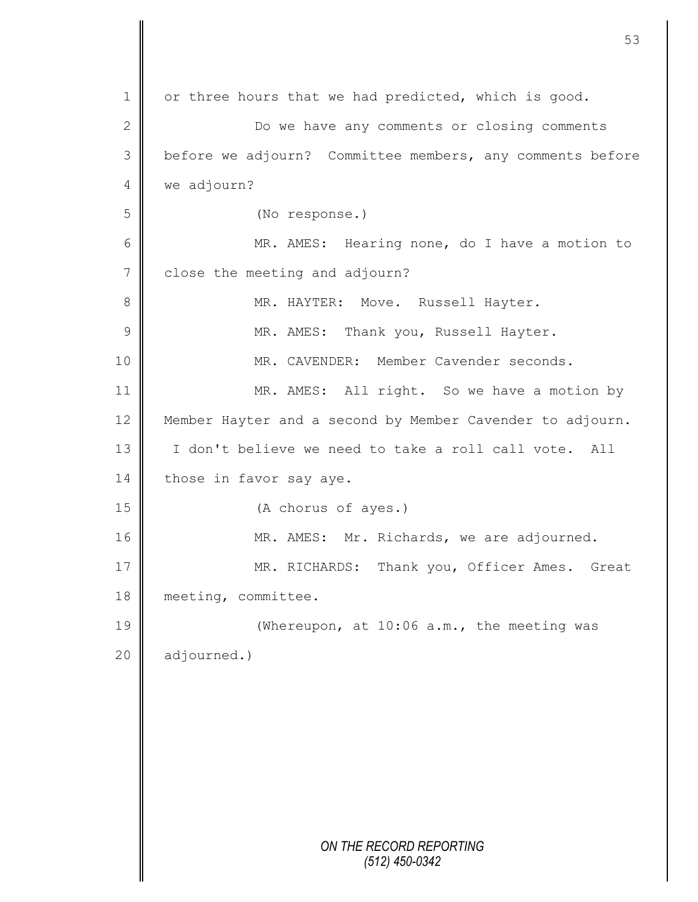*ON THE RECORD REPORTING (512) 450-0342* 1 or three hours that we had predicted, which is good. 2 ||<br>
Do we have any comments or closing comments 3 | before we adjourn? Committee members, any comments before 4 we adjourn? 5 (No response.) 6 || MR. AMES: Hearing none, do I have a motion to 7 close the meeting and adjourn? 8 MR. HAYTER: Move. Russell Hayter. 9 || MR. AMES: Thank you, Russell Hayter. 10 **MR. CAVENDER:** Member Cavender seconds. 11 | MR. AMES: All right. So we have a motion by 12 Member Hayter and a second by Member Cavender to adjourn. 13 I don't believe we need to take a roll call vote. All 14 those in favor say aye. 15 **(A** chorus of ayes.) 16 | MR. AMES: Mr. Richards, we are adjourned. 17 MR. RICHARDS: Thank you, Officer Ames. Great 18 meeting, committee. 19 | (Whereupon, at 10:06 a.m., the meeting was 20 adjourned.)